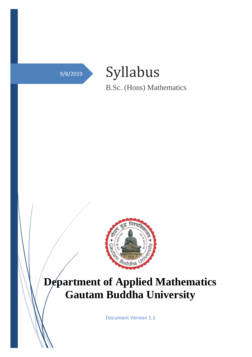

Syllabus

B.Sc. (Hons) Mathematics



# **Department of Applied Mathematics Gautam Buddha University**

Document Version 1.1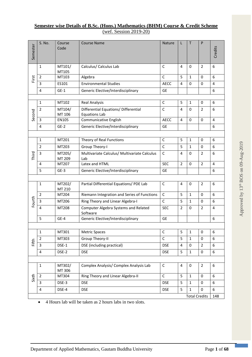| Semester             | S. No.         | Course<br>Code   | <b>Course Name</b>                                           | <b>Nature</b> | L              | T            | P              | Credits        |
|----------------------|----------------|------------------|--------------------------------------------------------------|---------------|----------------|--------------|----------------|----------------|
|                      | $\mathbf{1}$   | MT101/<br>MT105  | Calculus/ Calculus Lab                                       | $\mathsf{C}$  | 4              | $\mathbf 0$  | 2              | 6              |
| First                | $\overline{2}$ | MT103            | Algebra                                                      | $\mathsf{C}$  | 5              | $\mathbf{1}$ | 0              | 6              |
|                      | 3              | ES101            | <b>Environmental Studies</b>                                 | <b>AECC</b>   | 4              | $\Omega$     | 0              | $\overline{4}$ |
|                      | 4              | $GE-1$           | Generic Elective/Interdisciplinary                           | <b>GE</b>     |                |              |                | 6              |
|                      |                |                  |                                                              |               |                |              |                |                |
|                      | $\mathbf{1}$   | MT102            | <b>Real Analysis</b>                                         | $\mathsf{C}$  | 5              | $\mathbf{1}$ | 0              | 6              |
| Second               | $\overline{2}$ | MT104/<br>MT 106 | Differential Equations/ Differential<br><b>Equations Lab</b> | $\mathsf{C}$  | 4              | 0            | $\overline{2}$ | 6              |
|                      | 3              | EN105            | Communicative English                                        | <b>AECC</b>   | 4              | $\Omega$     | 0              | 4              |
|                      | 4              | $GE-2$           | Generic Elective/Interdisciplinary                           | <b>GE</b>     |                |              |                | 6              |
|                      |                |                  |                                                              |               |                |              |                |                |
|                      | $\mathbf{1}$   | MT201            | Theory of Real Functions                                     | $\mathsf{C}$  | 5              | $\mathbf{1}$ | 0              | 6              |
|                      | $\overline{2}$ | MT203            | Group Theory-I                                               | $\mathsf{C}$  | 5              | $\mathbf{1}$ | 0              | 6              |
| Third                | 3              | MT205/<br>MT 209 | Multivariate Calculus/ Multivariate Calculus<br>Lab          | $\mathsf{C}$  | 4              | 0            | $\overline{2}$ | 6              |
|                      | 4              | MT207            | Latex and HTML                                               | <b>SEC</b>    | $\overline{2}$ | 0            | $\overline{2}$ | 4              |
|                      | 5              | $GE-3$           | Generic Elective/Interdisciplinary                           | <b>GE</b>     |                |              |                | 6              |
|                      |                |                  |                                                              |               |                |              |                |                |
|                      | $\mathbf 1$    | MT202/<br>MT 210 | Partial Differential Equations/ PDE Lab                      | C             | 4              | 0            | $\overline{2}$ | 6              |
|                      | $\overline{2}$ | MT204            | Riemann Integration and Series of Functions                  | $\mathsf{C}$  | 5              | $\mathbf{1}$ | 0              | 6              |
| Fourth               | 3              | MT206            | Ring Theory and Linear Algebra-I                             | $\mathsf{C}$  | 5              | $\mathbf{1}$ | 0              | 6              |
|                      | 4              | MT208            | <b>Computer Algebra Systems and Related</b><br>Software      | <b>SEC</b>    | $\overline{2}$ | 0            | $\overline{2}$ | $\overline{4}$ |
|                      | 5              | $GE-4$           | Generic Elective/Interdisciplinary                           | <b>GE</b>     |                |              |                | 6              |
|                      |                |                  |                                                              |               |                |              |                |                |
|                      | $\mathbf{1}$   | MT301            | <b>Metric Spaces</b>                                         | $\mathsf C$   | 5              | $\mathbf 1$  | $\mathbf 0$    | 6              |
| Fifth                | $\overline{2}$ | MT303            | Group Theory-II                                              | $\mathsf{C}$  | 5              | $\mathbf{1}$ | 0              | 6              |
|                      | $\mathbf{3}$   | DSE-1            | DSE (including practical)                                    | <b>DSE</b>    | 4              | 0            | $\overline{2}$ | 6              |
|                      | $\overline{4}$ | DSE-2            | <b>DSE</b>                                                   | <b>DSE</b>    | 5              | $\mathbf{1}$ | $\pmb{0}$      | 6              |
|                      |                |                  |                                                              |               |                |              |                |                |
|                      | $\mathbf 1$    | MT302/<br>MT 306 | Complex Analysis/ Complex Analysis Lab                       | $\mathsf C$   | 4              | 0            | $\overline{2}$ | 6              |
| Sixth                | $\overline{2}$ | MT304            | Ring Theory and Linear Algebra-II                            | $\mathsf{C}$  | 5              | $\mathbf{1}$ | 0              | 6              |
|                      | 3              | DSE-3            | <b>DSE</b>                                                   | <b>DSE</b>    | 5              | $\mathbf{1}$ | 0              | 6              |
|                      | $\overline{4}$ | DSE-4            | <b>DSE</b>                                                   | <b>DSE</b>    | 5              | $\mathbf{1}$ | 0              | 6              |
| <b>Total Credits</b> |                |                  |                                                              | 148           |                |              |                |                |

# **Semester wise Details of B.Sc. (Hons.) Mathematics (BHM) Course & Credit Scheme** (wef. Session 2019-20)

• 4 Hours lab will be taken as 2 hours labs in two slots.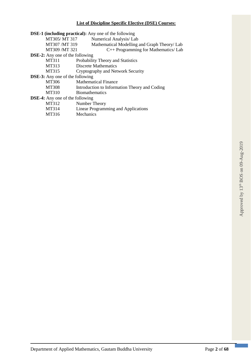# **List of Discipline Specific Elective (DSE) Courses:**

|                                        | <b>DSE-1 (including practical):</b> Any one of the following |
|----------------------------------------|--------------------------------------------------------------|
| MT305/ MT 317                          | Numerical Analysis/ Lab                                      |
| MT307 /MT 319                          | Mathematical Modelling and Graph Theory/ Lab                 |
| MT309 /MT321                           | C++ Programming for Mathematics/ Lab                         |
| <b>DSE-2:</b> Any one of the following |                                                              |
| MT311                                  | Probability Theory and Statistics                            |
| MT313                                  | <b>Discrete Mathematics</b>                                  |
| MT315                                  | Cryptography and Network Security                            |
| <b>DSE-3:</b> Any one of the following |                                                              |
| MT306                                  | <b>Mathematical Finance</b>                                  |
| <b>MT308</b>                           | Introduction to Information Theory and Coding                |
| MT310                                  | <b>Biomathematics</b>                                        |
| <b>DSE-4:</b> Any one of the following |                                                              |
| MT312                                  | Number Theory                                                |
| MT314                                  | <b>Linear Programming and Applications</b>                   |
|                                        |                                                              |

MT316 Mechanics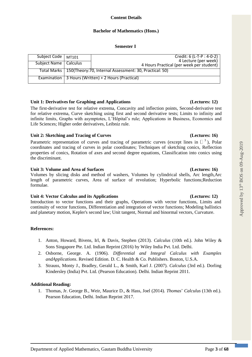# **Bachelor of Mathematics (Hons.)**

### **Semester I**

| Subject Code   MT101    |                                                                       | Credit: 6 (L-T-P : 4-0-2)<br>4 Lecture (per week) |  |  |
|-------------------------|-----------------------------------------------------------------------|---------------------------------------------------|--|--|
|                         |                                                                       |                                                   |  |  |
| Subject Name   Calculus |                                                                       |                                                   |  |  |
|                         |                                                                       | 4 Hours Practical (per week per student)          |  |  |
|                         |                                                                       |                                                   |  |  |
|                         | Total Marks   150(Theory: 70, Internal Assessment: 30, Practical: 50) |                                                   |  |  |
|                         |                                                                       |                                                   |  |  |
|                         |                                                                       |                                                   |  |  |
|                         | Examination   3 Hours (Written) + 2 Hours (Practical)                 |                                                   |  |  |
|                         |                                                                       |                                                   |  |  |
|                         |                                                                       |                                                   |  |  |

### **Unit 1: Derivatives for Graphing and Applications (Lectures: 12)**

The first-derivative test for relative extrema, Concavity and inflection points, Second-derivative test for relative extrema, Curve sketching using first and second derivative tests; Limits to infinity and infinite limits, Graphs with asymptotes, L'Hôpital's rule; Applications in Business, Economics and Life Sciences; Higher order derivatives, Leibniz rule.

# **Unit 2: Sketching and Tracing of Curves (Lectures: 16)**

Parametric representation of curves and tracing of parametric curves (except lines in  $\Box$ <sup>3</sup>), Polar coordinates and tracing of curves in polar coordinates; Techniques of sketching conics, Reflection properties of conics, Rotation of axes and second degree equations, Classification into conics using the discriminant.

### **Unit 3: Volume and Area of Surfaces (Lectures: 16)**

Volumes by slicing disks and method of washers, Volumes by cylindrical shells, Arc length,Arc length of parametric curves, Area of surface of revolution; Hyperbolic functions;Reduction formulae.

### **Unit 4: Vector Calculus and its Applications (Lectures: 12)**

Introduction to vector functions and their graphs, Operations with vector functions, Limits and continuity of vector functions, Differentiation and integration of vector functions; Modeling ballistics and planetary motion, Kepler's second law; Unit tangent, Normal and binormal vectors, Curvature.

# **References:**

- 1. Anton, Howard, Bivens, Irl, & Davis, Stephen (2013). *Calculus* (10th ed.). John Wiley & Sons Singapore Pte. Ltd. Indian Reprint (2016) by Wiley India Pvt. Ltd. Delhi.
- 2. Osborne, George. A. (1906). *Differential and Integral Calculus with Examples andApplications*. Revised Edition. D. C. Health & Co. Publishers. Boston, U.S.A.
- 3. Strauss, Monty J., Bradley, Gerald L., & Smith, Karl J. (2007). *Calculus* (3rd ed.). Dorling Kindersley (India) Pvt. Ltd. (Pearson Education). Delhi. Indian Reprint 2011.

# **Additional Reading:**

1. Thomas, Jr. George B., Weir, Maurice D., & Hass, Joel (2014). *Thomas*' *Calculus* (13th ed.). Pearson Education, Delhi. Indian Reprint 2017.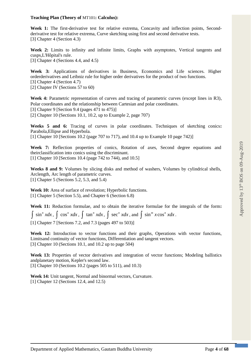### **Teaching Plan (Theory of** MT101**: Calculus):**

**Week 1:** The first-derivative test for relative extrema, Concavity and inflection points, Secondderivative test for relative extrema, Curve sketching using first and second derivative tests. [3] Chapter 4 (Section 4.3)

**Week 2:** Limits to infinity and infinite limits, Graphs with asymptotes, Vertical tangents and cusps,L'Hôpital's rule.

[3] Chapter 4 (Sections 4.4, and 4.5)

**Week 3:** Applications of derivatives in Business, Economics and Life sciences. Higher orderderivatives and Leibniz rule for higher order derivatives for the product of two functions.

[3] Chapter 4 (Section 4.7)

[2] Chapter IV (Sections 57 to 60)

Week 4: Parametric representation of curves and tracing of parametric curves (except lines in R3), Polar coordinates and the relationship between Cartesian and polar coordinates. [3] Chapter 9 [Section 9.4 (pages 471 to 475)] [2] Chapter 10 (Sections 10.1, 10.2, up to Example 2, page 707)

**Weeks 5 and 6:** Tracing of curves in polar coordinates. Techniques of sketching conics**:**  Parabola,Ellipse and Hyperbola.

[1] Chapter 10 [Sections 10.2 (page 707 to 717), and 10.4 up to Example 10 page 742)]

**Week 7:** Reflection properties of conics, Rotation of axes, Second degree equations and theirclassification into conics using the discriminant. [1] Chapter 10 [Sections 10.4 (page 742 to 744), and 10.5]

**Weeks 8 and 9:** Volumes by slicing disks and method of washers, Volumes by cylindrical shells, Arclength, Arc length of parametric curves. [1] Chapter 5 (Sections 5.2, 5.3, and 5.4)

**Week 10:** Area of surface of revolution; Hyperbolic functions. [1] Chapter 5 (Section 5.5), and Chapter 6 (Section 6.8)

**Week 11:** Reduction formulae, and to obtain the iterative formulae for the integrals of the form**:**  $\int \sin^n x dx$ ,  $\int \cos^n x dx$ ,  $\int \tan^n x dx$ ,  $\int \sec^n x dx$ , and  $\int \sin^m x \cos^n x dx$ . [1] Chapter 7 [Sections 7.2, and 7.3 (pages 497 to 503)]

**Week 12:** Introduction to vector functions and their graphs, Operations with vector functions, Limitsand continuity of vector functions, Differentiation and tangent vectors. [3] Chapter 10 (Sections 10.1, and 10.2 up to page 504)

Week 13: Properties of vector derivatives and integration of vector functions; Modeling ballistics andplanetary motion, Kepler's second law. [3] Chapter 10 (Sections 10.2 (pages 505 to 511), and 10.3)

**Week 14:** Unit tangent, Normal and binormal vectors, Curvature. [1] Chapter 12 (Sections 12.4, and 12.5)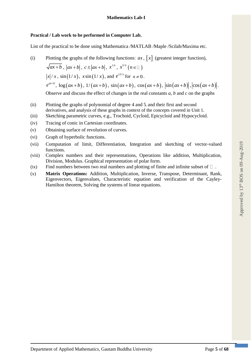### **Practical / Lab work to be performed in Computer Lab.**

List of the practical to be done using Mathematica /MATLAB /Maple /Scilab/Maxima etc.

- (i) Plotting the graphs of the following functions:  $ax$ ,  $\left[x\right]$  (greatest integer function),  $ax+b$ ,  $|ax+b|$ ,  $c \pm |ax+b|$ ,  $x^{\pm n}$ ,  $x^{1/n}$   $(n \in \mathbb{Z})$  $x/x$ ,  $\sin(1/x)$ ,  $x\sin(1/x)$ , and  $e^{\pm 1/x}$  for  $x\neq 0$ .  $e^{ax+b}$ ,  $\log(ax+b)$ ,  $1/(ax+b)$ ,  $\sin(ax+b)$ ,  $\cos(ax+b)$ ,  $\left|\sin(ax+b)\right|$ ,  $\left|\cos(ax+b)\right|$ . Observe and discuss the effect of changes in the real constants *a*, *b* and *c* on the graphs
- (ii) Plotting the graphs of polynomial of degree 4 and 5, and their first and second derivatives, and analysis of these graphs in context of the concepts covered in Unit 1.
- (iii) Sketching parametric curves, e.g., Trochoid, Cycloid, Epicycloid and Hypocycloid.
- (iv) Tracing of conic in Cartesian coordinates.
- (v) Obtaining surface of revolution of curves.
- (vi) Graph of hyperbolic functions.
- (vii) Computation of limit, Differentiation, Integration and sketching of vector-valued functions.
- (viii) Complex numbers and their representations, Operations like addition, Multiplication, Division, Modulus. Graphical representation of polar form.
- (ix) Find numbers between two real numbers and plotting of finite and infinite subset of  $\Box$ .
- (x) **Matrix Operations:** Addition, Multiplication, Inverse, Transpose, Determinant, Rank, Eigenvectors, Eigenvalues, Characteristic equation and verification of the Cayley-Hamilton theorem, Solving the systems of linear equations.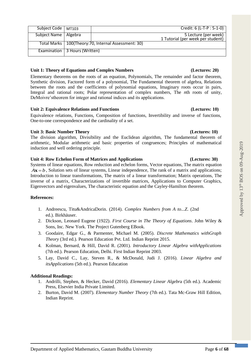|  |  |  | Unit 1: Theory of Equations and Complex Numbers |  |
|--|--|--|-------------------------------------------------|--|
|--|--|--|-------------------------------------------------|--|

Examination | 3 Hours (Written)

Total Marks 100(Theory:70, Internal Assessment: 30)

Elementary theorems on the roots of an equation, Polynomials, The remainder and factor theorem, Synthetic division, Factored form of a polynomial, The Fundamental theorem of algebra, Relations between the roots and the coefficients of polynomial equations, Imaginary roots occur in pairs, Integral and rational roots; Polar representation of complex numbers, The *n*th roots of unity, DeMoivre'stheorem for integer and rational indices and its applications.

Subject Code | MT103 Credit: 6 (L-T-P : 5-1-0) Subject Name | Algebra 1999 | Algebra 5 Lecture (per week)

# **Unit 2: Equivalence Relations and Functions (Lectures: 10)**

Equivalence relations, Functions, Composition of functions, Invertibility and inverse of functions, One-to-one correspondence and the cardinality of a set.

# **Unit 3: Basic Number Theory (Lectures: 10)**

The division algorithm, Divisibility and the Euclidean algorithm, The fundamental theorem of arithmetic, Modular arithmetic and basic properties of congruences; Principles of mathematical induction and well ordering principle.

# **Unit 4: Row Echelon Form of Matrices and Applications (Lectures: 30)**

Systems of linear equations, Row reduction and echelon forms, Vector equations, The matrix equation  $A\mathbf{x} = b$ , Solution sets of linear systems, Linear independence, The rank of a matrix and applications; Introduction to linear transformations, The matrix of a linear transformation; Matrix operations, The inverse of a matrix, Characterizations of invertible matrices, Applications to Computer Graphics, Eigenvectors and eigenvalues, The characteristic equation and the Cayley-Hamilton theorem.

# **References:**

- 1. Andreescu, Titu&AndricaDorin. (2014). *Complex Numbers from A to...Z*. (2nd ed.). Birkhäuser.
- 2. Dickson, Leonard Eugene (1922). *First Course in The Theory of Equations*. John Wiley & Sons, Inc. New York. The Project Gutenberg EBook.
- 3. Goodaire, Edgar G., & Parmenter, Michael M. (2005). *Discrete Mathematics withGraph Theory* (3rd ed.). Pearson Education Pvt. Ltd. Indian Reprint 2015.
- 4. Kolman, Bernard, & Hill, David R. (2001). *Introductory Linear Algebra withApplications*  (7th ed.). Pearson Education, Delhi. First Indian Reprint 2003.
- 5. Lay, David C., Lay, Steven R., & McDonald, Judi J. (2016). *Linear Algebra and itsApplications* (5th ed.). Pearson Education

# **Additional Readings:**

- 1. Andrilli, Stephen, & Hecker, David (2016). *Elementary Linear Algebr*a (5th ed.). Academic Press, Elsevier India Private Limited.
- 2. Burton, David M. (2007). *Elementary Number Theory* (7th ed.). Tata Mc-Graw Hill Edition, Indian Reprint.

# **(Lectures: 20)**

1 Tutorial (per week per student)

Approved by  $13<sup>th</sup>$  BOS on 09-Aug-2019

Approved by 13th BOS on 09-Aug-2019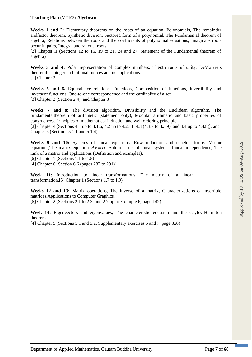### **Teaching Plan (**MT103**: Algebra):**

**Weeks 1 and 2:** Elementary theorems on the roots of an equation, Polynomials, The remainder andfactor theorem, Synthetic division, Factored form of a polynomial, The Fundamental theorem of algebra, Relations between the roots and the coefficients of polynomial equations, Imaginary roots occur in pairs, Integral and rational roots.

[2] Chapter II (Sections 12 to 16, 19 to 21, 24 and 27, Statement of the Fundamental theorem of algebra)

**Weeks 3 and 4:** Polar representation of complex numbers, The*n*th roots of unity, DeMoivre's theoremfor integer and rational indices and its applications. [1] Chapter 2

**Weeks 5 and 6.** Equivalence relations, Functions, Composition of functions, Invertibility and inverseof functions, One-to-one correspondence and the cardinality of a set. [3] Chapter 2 (Section 2.4), and Chapter 3

**Weeks 7 and 8:** The division algorithm, Divisibility and the Euclidean algorithm, The fundamentaltheorem of arithmetic (statement only), Modular arithmetic and basic properties of congruences. Principles of mathematical induction and well ordering principle.

[3] Chapter 4 [Sections 4.1 up to 4.1.6, 4.2 up to 4.2.11, 4.3 (4.3.7 to 4.3.9), and 4.4 up to 4.4.8)], and Chapter 5 (Sections 5.1.1 and 5.1.4)

**Weeks 9 and 10:** Systems of linear equations, Row reduction and echelon forms, Vector equations, The matrix equation  $A\mathbf{x} = b$ , Solution sets of linear systems, Linear independence, The rank of a matrix and applications (Definition and examples).

[5] Chapter 1 (Sections 1.1 to 1.5)

[4] Chapter 6 [Section 6.6 (pages 287 to 291)]

**Week 11:** Introduction to linear transformations, The matrix of a linear transformation.[5] Chapter 1 (Sections 1.7 to 1.9)

**Weeks 12 and 13:** Matrix operations, The inverse of a matrix, Characterizations of invertible matrices,Applications to Computer Graphics. [5] Chapter 2 (Sections 2.1 to 2.3, and 2.7 up to Example 6, page 142)

**Week 14:** Eigenvectors and eigenvalues, The characteristic equation and the Cayley-Hamilton theorem.

[4] Chapter 5 (Sections 5.1 and 5.2, Supplementary exercises 5 and 7, page 328)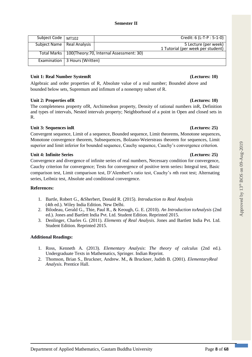| Subject Code   MT102         |                                 | Credit: 6 (L-T-P : 5-1-0)                                 |
|------------------------------|---------------------------------|-----------------------------------------------------------|
| Subject Name   Real Analysis |                                 | 5 Lecture (per week)<br>1 Tutorial (per week per student) |
|                              |                                 | Total Marks   100(Theory: 70, Internal Assessment: 30)    |
|                              | Examination   3 Hours (Written) |                                                           |

### **Unit 1: Real Number SystemR (Lectures: 10)**

Algebraic and order properties of R, Absolute value of a real number; Bounded above and bounded below sets, Supremum and infimum of a nonempty subset of R.

### **Unit 2: Properties ofR (Lectures: 10)**

The completeness property ofR, Archimedean property, Density of rational numbers inR, Definition and types of intervals, Nested intervals property; Neighborhood of a point in Open and closed sets in R.

# Unit 3: Sequences inR **(Lectures: 25)** (Lectures: 25)

Convergent sequence, Limit of a sequence, Bounded sequence, Limit theorems, Monotone sequences, Monotone convergence theorem, Subsequences, Bolzano-Weierstrass theorem for sequences, Limit superior and limit inferior for bounded sequence, Cauchy sequence, Cauchy's convergence criterion.

### **Unit 4: Infinite Series (Lectures: 25)**

Convergence and divergence of infinite series of real numbers, Necessary condition for convergence, Cauchy criterion for convergence; Tests for convergence of positive term series**:** Integral test, Basic comparison test, Limit comparison test, D'Alembert's ratio test, Cauchy's *n*th root test; Alternating series, Leibniz test, Absolute and conditional convergence.

# **References:**

- 1. Bartle, Robert G., &Sherbert, Donald R. (2015). *Introduction to Real Analysis* (4th ed.). Wiley India Edition. New Delhi.
- 2. Bilodeau, Gerald G., Thie, Paul R., & Keough, G. E. (2010). *An Introduction toAnalysis* (2nd ed.). Jones and Bartlett India Pvt. Ltd. Student Edition. Reprinted 2015.
- 3. Denlinger, Charles G. (2011). *Elements of Real Analysis*. Jones and Bartlett India Pvt. Ltd. Student Edition. Reprinted 2015.

# **Additional Readings:**

- 1. Ross, Kenneth A. (2013). *Elementary Analysis*: *The theory of calculus* (2nd ed.). Undergraduate Texts in Mathematics, Springer. Indian Reprint.
- 2. Thomson, Brian S., Bruckner, Andrew. M., & Bruckner, Judith B. (2001). *ElementaryReal Analysis.* Prentice Hall.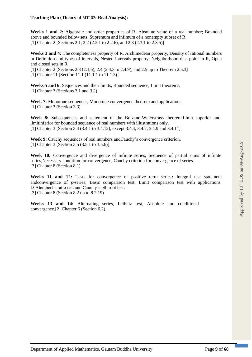### **Teaching Plan (Theory of** MT102**: Real Analysis):**

**Weeks 1 and 2:** Algebraic and order properties of R**.** Absolute value of a real number; Bounded above and bounded below sets, Supremum and infimum of a nonempty subset of R. [1] Chapter 2 [Sections 2.1, 2.2 (2.2.1 to 2.2.6), and 2.3 (2.3.1 to 2.3.5)]

**Weeks 3 and 4:** The completeness property of R, Archimedean property, Density of rational numbers in Definition and types of intervals, Nested intervals property; Neighborhood of a point in R, Open and closed sets in R.

[1] Chapter 2 [Sections 2.3 (2.3.6), 2.4 (2.4.3 to 2.4.9), and 2.5 up to Theorem 2.5.3] [1] Chapter 11 [Section 11.1 (11.1.1 to 11.1.3)]

**Weeks 5 and 6:** Sequences and their limits, Bounded sequence, Limit theorems. [1] Chapter 3 (Sections 3.1 and 3.2)

Week 7: Monotone sequences, Monotone convergence theorem and applications. [1] Chapter 3 (Section 3.3)

**Week 8:** Subsequences and statement of the Bolzano-Weierstrass theorem.Limit superior and limitinferior for bounded sequence of real numbers with illustrations only. [1] Chapter 3 [Section 3.4 (3.4.1 to 3.4.12), except 3.4.4, 3.4.7, 3.4.9 and 3.4.11]

**Week 9:** Cauchy sequences of real numbers andCauchy's convergence criterion. [1] Chapter 3 [Section 3.5 (3.5.1 to 3.5.6)]

Week 10: Convergence and divergence of infinite series, Sequence of partial sums of infinite series,Necessary condition for convergence, Cauchy criterion for convergence of series. [3] Chapter 8 (Section 8.1)

**Weeks 11 and 12:** Tests for convergence of positive term series**:** Integral test statement andconvergence of *p*-series, Basic comparison test, Limit comparison test with applications, D'Alembert's ratio test and Cauchy's *n*th root test. [3] Chapter 8 (Section 8.2 up to 8.2.19)

**Weeks 13 and 14:** Alternating series, Leibniz test, Absolute and conditional convergence.[2] Chapter 6 (Section 6.2)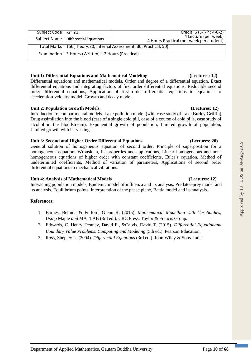| 4 Lecture (per week)<br>Subject Name   Differential Equations<br>4 Hours Practical (per week per student) | Subject Code   MT104 |
|-----------------------------------------------------------------------------------------------------------|----------------------|
|                                                                                                           |                      |
| Total Marks   150(Theory: 70, Internal Assessment: 30, Practical: 50)                                     |                      |
| Examination   3 Hours (Written) + 2 Hours (Practical)                                                     |                      |

# **Unit 1: Differential Equations and Mathematical Modeling (Lectures: 12)**

Differential equations and mathematical models, Order and degree of a differential equation, Exact differential equations and integrating factors of first order differential equations, Reducible second order differential equations, Application of first order differential equations to equations to acceleration-velocity model, Growth and decay model.

# **Unit 2: Population Growth Models (Lectures: 12)**

Introduction to compartmental models, Lake pollution model (with case study of Lake Burley Griffin), Drug assimilation into the blood (case of a single cold pill, case of a course of cold pills, case study of alcohol in the bloodstream), Exponential growth of population, Limited growth of population, Limited growth with harvesting.

# **Unit 3: Second and Higher Order Differential Equations (Lectures: 20)**

General solution of homogeneous equation of second order, Principle of superposition for a homogeneous equation; Wronskian, its properties and applications, Linear homogeneous and nonhomogeneous equations of higher order with constant coefficients, Euler's equation, Method of undetermined coefficients, Method of variation of parameters, Applications of second order differential equations to mechanical vibrations.

# **Unit 4: Analysis of Mathematical Models (Lectures: 12)**

Interacting population models, Epidemic model of influenza and its analysis, Predator-prey model and its analysis, Equilibrium points, Interpretation of the phase plane, Battle model and its analysis.

# **References:**

- 1. Barnes, Belinda & Fulford, Glenn R. (2015). *Mathematical Modelling with CaseStudies, Using* Maple *and* MATLAB (3rd ed.). CRC Press, Taylor & Francis Group.
- 2. Edwards, C. Henry, Penney, David E., &Calvis, David T. (2015). *Differential Equationand Boundary Value Problems*: *Computing and Modeling* (5th ed.). Pearson Education.
- 3. Ross, Shepley L. (2004). *Differential Equations* (3rd ed.). John Wiley & Sons. India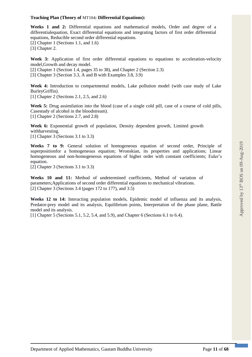### **Teaching Plan (Theory of** MT104**: Differential Equations):**

**Weeks 1 and 2:** Differential equations and mathematical models, Order and degree of a differentialequation, Exact differential equations and integrating factors of first order differential equations, Reducible second order differential equations.

[2] Chapter 1 (Sections 1.1, and 1.6)

[3] Chapter 2.

**Week 3:** Application of first order differential equations to equations to acceleration-velocity model,Growth and decay model.

[2] Chapter 1 (Section 1.4, pages 35 to 38), and Chapter 2 (Section 2.3)

[3] Chapter 3 (Section 3.3, A and B with Examples 3.8, 3.9)

**Week 4:** Introduction to compartmental models, Lake pollution model (with case study of Lake BurleyGriffin).

[1] Chapter 2 (Sections 2.1, 2.5, and 2.6)

**Week 5:** Drug assimilation into the blood (case of a single cold pill, case of a course of cold pills, Casestudy of alcohol in the bloodstream). [1] Chapter 2 (Sections 2.7, and 2.8)

**Week 6:** Exponential growth of population, Density dependent growth, Limited growth withharvesting.

[1] Chapter 3 (Sections 3.1 to 3.3)

**Weeks 7 to 9:** General solution of homogeneous equation of second order, Principle of superpositionfor a homogeneous equation; Wronskian, its properties and applications; Linear homogeneous and non-homogeneous equations of higher order with constant coefficients; Euler's equation.

[2] Chapter 3 (Sections 3.1 to 3.3)

**Weeks 10 and 11:** Method of undetermined coefficients, Method of variation of parameters;Applications of second order differential equations to mechanical vibrations. [2] Chapter 3 (Sections 3.4 (pages 172 to 177), and 3.5)

**Weeks 12 to 14:** Interacting population models, Epidemic model of influenza and its analysis, Predator-prey model and its analysis, Equilibrium points, Interpretation of the phase plane, Battle model and its analysis.

[1] Chapter 5 (Sections 5.1, 5.2, 5.4, and 5.9), and Chapter 6 (Sections 6.1 to 6.4).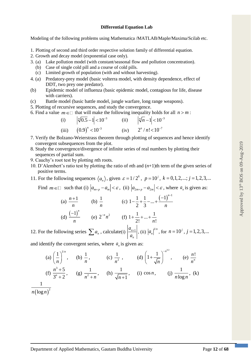### **Differential Equation Lab**

Modeling of the following problems using Mathematica /MATLAB/Maple/Maxima/Scilab etc.

- 1. Plotting of second and third order respective solution family of differential equation.
- 2. Growth and decay model (exponential case only).
- 3. (a) Lake pollution model (with constant/seasonal flow and pollution concentration).
- (b) Case of single cold pill and a course of cold pills.
- (c) Limited growth of population (with and without harvesting).
- 4. (a) Predatory-prey model (basic volterra model, with density dependence, effect of DDT, two prey one predator).
- (b) Epidemic model of influenza (basic epidemic model, contagious for life, disease with carriers).
- (c) Battle model (basic battle model, jungle warfare, long range weapons).
- 5. Plotting of recursive sequences, and study the convergence.
- 6. Find a value  $m \in \mathbb{Z}$  that will make the following inequality holds for all  $n > m$ :

(i) 
$$
\left| \sqrt[n]{0.5} - 1 \right| < 10^{-3}
$$
 (ii)  $\left| \sqrt[n]{n} - 1 \right| < 10^{-3}$   
(iii)  $(0.9)^n < 10^{-3}$  (iv)  $2^n / n! < 10^{-7}$ 

- 7. Verify the Bolzano-Weierstrass theorem through plotting of sequences and hence identify convergent subsequences from the plot.
- 8. Study the convergence/divergence of infinite series of real numbers by plotting their sequences of partial sum.
- 9. Cauchy's root test by plotting *n*th roots.
- 10. D'Alembert's ratio test by plotting the ratio of *n*th and (*n*+1)th term of the given series of positive terms.
- 11. For the following sequences  $\langle a_n \rangle$ , given  $\varepsilon = 1/2^k$ ,  $p = 10^j$ ,  $k = 0, 1, 2, ...$ ;  $j = 1, 2, 3, ...$

Find  $m \in \mathbb{Z}$  such that (i)  $|a_{m+p} - a_m| < \varepsilon$ , (ii)  $|a_{2m+p} - a_{2m}| < \varepsilon$ , where  $a_n$  is given as:

(a) 
$$
\frac{n+1}{n}
$$
 (b)  $\frac{1}{n}$  (c)  $1 - \frac{1}{2} + \frac{1}{3} - \dots + \frac{(-1)^{n-1}}{n}$   
(d)  $\frac{(-1)^n}{n}$  (e)  $2^{-n} n^2$  (f)  $1 + \frac{1}{2!} + \dots + \frac{1}{n!}$ 

12. For the following series  $\sum a_n$ , calculate(i)  $\frac{a_{n+1}}{a_n}$ *n a a*  $\frac{1}{\sqrt{2}}$ , (ii)  $|a_n|^{1/n}$ , for  $n = 10^j$ ,  $j = 1, 2, 3, ...$ 

and identify the convergent series, where  $a_n$  is given as:

(a) 
$$
\left(\frac{1}{n}\right)^{1/n}
$$
, (b)  $\frac{1}{n}$ , (c)  $\frac{1}{n^2}$ , (d)  $\left(1 + \frac{1}{\sqrt{n}}\right)^{-n^{3/2}}$ , (e)  $\frac{n!}{n^n}$   
(f)  $\frac{n^3 + 5}{3^n + 2}$ , (g)  $\frac{1}{n^2 + n}$ , (h)  $\frac{1}{\sqrt{n+1}}$ , (i)  $\cos n$ , (j)  $\frac{1}{n \log n}$ , (k)

 $n(\log n)^2$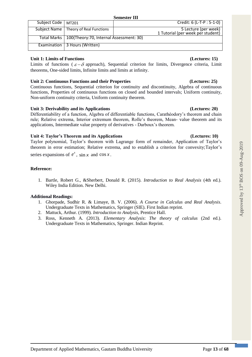| Subject Code   MT201 |                                                        | Credit: 6 (L-T-P : 5-1-0)                                 |
|----------------------|--------------------------------------------------------|-----------------------------------------------------------|
|                      | Subject Name   Theory of Real Functions                | 5 Lecture (per week)<br>1 Tutorial (per week per student) |
|                      | Total Marks   100(Theory: 70, Internal Assessment: 30) |                                                           |
|                      | Examination   3 Hours (Written)                        |                                                           |

### **Unit 1: Limits of Functions (Lectures: 15)**

Limits of functions ( $\varepsilon - \delta$  approach), Sequential criterion for limits, Divergence criteria, Limit theorems, One-sided limits, Infinite limits and limits at infinity.

# **Unit 2: Continuous Functions and their Properties (Lectures: 25)**

Continuous functions, Sequential criterion for continuity and discontinuity, Algebra of continuous functions, Properties of continuous functions on closed and bounded intervals; Uniform continuity, Non-uniform continuity criteria, Uniform continuity theorem.

# **Unit 3: Derivability and its Applications (Lectures: 20)**

Differentiability of a function, Algebra of differentiable functions, Carathéodory's theorem and chain rule; Relative extrema, Interior extremum theorem, Rolle's theorem, Mean- value theorem and its applications, Intermediate value property of derivatives - Darboux's theorem.

# **Unit 4: Taylor's Theorem and its Applications (Lectures: 10)**

Taylor polynomial, Taylor's theorem with Lagrange form of remainder, Application of Taylor's theorem in error estimation; Relative extrema, and to establish a criterion for convexity;Taylor's

series expansions of  $e^x$ ,  $\sin x$  and  $\cos x$ .

# **Reference:**

1. Bartle, Robert G., &Sherbert, Donald R. (2015). *Introduction to Real Analysis* (4th ed.). Wiley India Edition. New Delhi.

# **Additional Readings:**

- 1. Ghorpade, Sudhir R. & Limaye, B. V. (2006). *A Course in Calculus and Real Analysis*. Undergraduate Texts in Mathematics, Springer (SIE). First Indian reprint.
- 2. Mattuck, Arthur. (1999). *Introduction to Analysis*, Prentice Hall.
- 3. Ross, Kenneth A. (2013). *Elementary Analysis*: *The theory of calculus* (2nd ed.). Undergraduate Texts in Mathematics, Springer. Indian Reprint.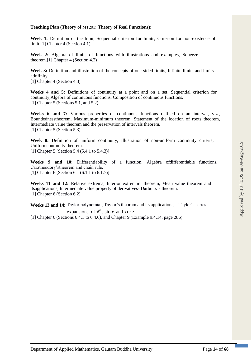### **Teaching Plan (Theory of** MT201**: Theory of Real Functions):**

**Week 1:** Definition of the limit, Sequential criterion for limits, Criterion for non-existence of limit.[1] Chapter 4 (Section 4.1)

**Week 2:** Algebra of limits of functions with illustrations and examples, Squeeze theorem.[1] Chapter 4 (Section 4.2)

**Week 3:** Definition and illustration of the concepts of one-sided limits, Infinite limits and limits atinfinity.

[1] Chapter 4 (Section 4.3)

**Weeks 4 and 5:** Definitions of continuity at a point and on a set, Sequential criterion for continuity,Algebra of continuous functions, Composition of continuous functions. [1] Chapter 5 (Sections 5.1, and 5.2)

**Weeks 6 and 7:** Various properties of continuous functions defined on an interval, viz., Boundednesstheorem, Maximum-minimum theorem, Statement of the location of roots theorem, Intermediate value theorem and the preservation of intervals theorem. [1] Chapter 5 (Section 5.3)

**Week 8:** Definition of uniform continuity, Illustration of non-uniform continuity criteria, Uniformcontinuity theorem.

[1] Chapter 5 [Section 5.4 (5.4.1 to 5.4.3)]

Weeks 9 and 10: Differentiability of a function, Algebra of differentiable functions, Carathéodory'stheorem and chain rule. [1] Chapter 6 [Section 6.1 (6.1.1 to 6.1.7)]

**Weeks 11 and 12:** Relative extrema, Interior extremum theorem, Mean value theorem and itsapplications, Intermediate value property of derivatives- Darboux's theorem. [1] Chapter 6 (Section 6.2)

**Weeks 13 and 14:** Taylor polynomial, Taylor's theorem and its applications, Taylor's series expansions of  $e^x$ ,  $\sin x$  and  $\cos x$ .

[1] Chapter 6 (Sections 6.4.1 to 6.4.6), and Chapter 9 (Example 9.4.14, page 286)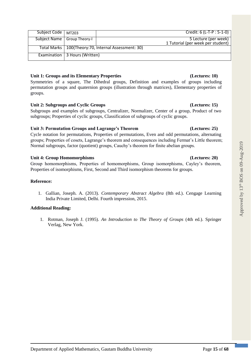| Unit 1: Groups and its Elementary Properties | (Lectures: 10) |
|----------------------------------------------|----------------|
|                                              |                |

Symmetries of a square, The Dihedral groups, Definition and examples of groups including permutation groups and quaternion groups (illustration through matrices), Elementary properties of groups.

# **Unit 2: Subgroups and Cyclic Groups (Lectures: 15)**

Examination 3 Hours (Written)

Subgroups and examples of subgroups, Centralizer, Normalizer, Center of a group, Product of two subgroups; Properties of cyclic groups, Classification of subgroups of cyclic groups.

# **Unit 3: Permutation Groups and Lagrange's Theorem (Lectures: 25)**

Cycle notation for permutations, Properties of permutations, Even and odd permutations, alternating groups; Properties of cosets, Lagrange's theorem and consequences including Fermat's Little theorem; Normal subgroups, factor (quotient) groups, Cauchy's theorem for finite abelian groups.

# **Unit 4: Group Homomorphisms (Lectures: 20)**

Group homomorphisms, Properties of homomorphisms, Group isomorphisms, Cayley's theorem, Properties of isomorphisms, First, Second and Third isomorphism theorems for groups.

### **Reference:**

1. Gallian, Joseph. A. (2013). *Contemporary Abstract Algebra* (8th ed.). Cengage Learning India Private Limited, Delhi. Fourth impression, 2015.

# **Additional Reading:**

1. Rotman, Joseph J. (1995). *An Introduction to The Theory of Groups* (4th ed.). Springer Verlag, New York.

### Subject Code | MT203 | Credit: 6 (L-T-P : 5-1-0) Subject Name Group Theory-I 3 Lecture (per week) 1 Tutorial (per week per student)

Total Marks 100(Theory:70, Internal Assessment: 30)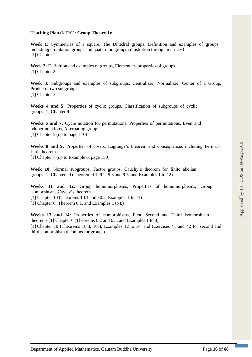### **Teaching Plan (**MT203**: Group Theory-I):**

**Week 1:** Symmetries of a square, The Dihedral groups, Definition and examples of groups includingpermutation groups and quaternion groups (illustration through matrices) [1] Chapter 1

Week 2: Definition and examples of groups, Elementary properties of groups. [1] Chapter 2

**Week 3:** Subgroups and examples of subgroups, Centralizer, Normalizer, Center of a Group, Productof two subgroups. [1] Chapter 3

**Weeks 4 and 5:** Properties of cyclic groups. Classification of subgroups of cyclic groups.[1] Chapter 4

**Weeks 6 and 7:** Cycle notation for permutations, Properties of permutations, Even and oddpermutations, Alternating group. [1] Chapter 5 (up to page 110)

**Weeks 8 and 9:** Properties of cosets, Lagrange's theorem and consequences including Fermat's Littletheorem.

[1] Chapter 7 (up to Example 6, page 150)

**Week 10:** Normal subgroups, Factor groups, Cauchy's theorem for finite abelian groups.[1] Chapters 9 (Theorem 9.1, 9.2, 9.3 and 9.5, and Examples 1 to 12)

**Weeks 11 and 12:** Group homomorphisms, Properties of homomorphisms, Group isomorphisms,Cayley's theorem.

[1] Chapter 10 (Theorems 10.1 and 10.2, Examples 1 to 11)

[1] Chapter 6 (Theorem 6.1, and Examples 1 to 8)

**Weeks 13 and 14:** Properties of isomorphisms, First, Second and Third isomorphism theorems.[1] Chapter 6 (Theorems 6.2 and 6.3, and Examples 1 to 8) [1] Chapter 10 (Theorems 10.3, 10.4, Examples 12 to 14, and Exercises 41 and 42 for second and third isomorphism theorems for groups)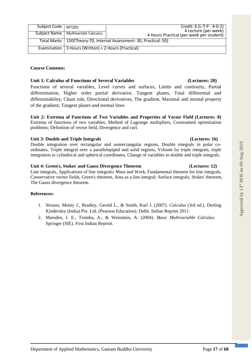| Subject Name   Multivariate Calculus                                  | 4 Lecture (per week)<br>4 Hours Practical (per week per student) |  |
|-----------------------------------------------------------------------|------------------------------------------------------------------|--|
| Total Marks   150(Theory: 70, Internal Assessment: 30, Practical: 50) |                                                                  |  |
| Examination   3 Hours (Written) + 2 Hours (Practical)                 |                                                                  |  |
|                                                                       |                                                                  |  |

Subject Code MT205 Credit: 6 (L-T-P : 4-0-2)

### **Course Contents:**

# **Unit 1: Calculus of Functions of Several Variables (Lectures: 20)**

Functions of several variables, Level curves and surfaces, Limits and continuity, Partial differentiation, Higher order partial derivative, Tangent planes, Total differential and differentiability, Chain rule, Directional derivatives, The gradient, Maximal and normal property of the gradient, Tangent planes and normal lines

**Unit 2: Extrema of Functions of Two Variables and Properties of Vector Field (Lectures: 8)**  Extrema of functions of two variables, Method of Lagrange multipliers, Constrained optimization problems; Definition of vector field, Divergence and curl.

### **Unit 3: Double and Triple Integrals (Lectures: 16)**

Double integration over rectangular and nonrectangular regions, Double integrals in polar coordinates, Triple integral over a parallelepiped and solid regions, Volume by triple integrals, triple integration in cylindrical and spherical coordinates, Change of variables in double and triple integrals.

### **Unit 4: Green**'**s, Stokes**' **and Gauss Divergence Theorem (Lectures: 12)**

Line integrals, Applications of line integrals**:** Mass and Work, Fundamental theorem for line integrals, Conservative vector fields, Green's theorem, Area as a line integral; Surface integrals, Stokes' theorem, The Gauss divergence theorem.

# **References:**

- 1. Strauss, Monty J., Bradley, Gerald L., & Smith, Karl J. (2007). *Calculus* (3rd ed.). Dorling Kindersley (India) Pvt. Ltd. (Pearson Education). Delhi. Indian Reprint 2011.
- 2. Marsden, J. E., Tromba, A., & Weinstein, A. (2004). *Basic Multivariable Calculus*. Springer (SIE). First Indian Reprint.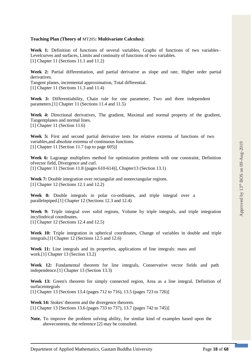### **Teaching Plan (Theory of** MT205**: Multivariate Calculus):**

Week 1: Definition of functions of several variables, Graphs of functions of two variables– Levelcurves and surfaces, Limits and continuity of functions of two variables. [1] Chapter 11 (Sections 11.1 and 11.2)

**Week 2:** Partial differentiation, and partial derivative as slope and rate, Higher order partial derivatives.

Tangent planes, incremental approximation, Total differential. [1] Chapter 11 (Sections 11.3 and 11.4)

**Week 3:** Differentiability, Chain rule for one parameter, Two and three independent parameters.[1] Chapter 11 (Sections 11.4 and 11.5)

**Week 4:** Directional derivatives, The gradient, Maximal and normal property of the gradient, Tangentplanes and normal lines. [1] Chapter 11 (Section 11.6)

Week 5: First and second partial derivative tests for relative extrema of functions of two variables,and absolute extrema of continuous functions. [1] Chapter 11 [Section 11.7 (up to page 605)]

Week 6: Lagrange multipliers method for optimization problems with one constraint, Definition ofvector field, Divergence and curl. [1] Chapter 11 [Section 11.8 (pages 610-614)], Chapter13 (Section 13.1)

Week 7: Double integration over rectangular and nonrectangular regions. [1] Chapter 12 (Sections 12.1 and 12.2)

**Week 8:** Double integrals in polar co-ordinates, and triple integral over a parallelepiped.[1] Chapter 12 (Sections 12.3 and 12.4)

**Week 9:** Triple integral over solid regions, Volume by triple integrals, and triple integration incylindrical coordinates. [1] Chapter 12 (Sections 12.4 and 12.5)

**Week 10:** Triple integration in spherical coordinates, Change of variables in double and triple integrals.[1] Chapter 12 (Sections 12.5 and 12.6)

**Week 11:** Line integrals and its properties, applications of line integrals: mass and work.[1] Chapter 13 (Section 13.2)

**Week 12:** Fundamental theorem for line integrals, Conservative vector fields and path independence.[1] Chapter 13 (Section 13.3)

**Week 13:** Green's theorem for simply connected region, Area as a line integral, Definition of surfaceintegrals

[1] Chapter 13 [Sections 13.4 (pages 712 to 716), 13.5 (pages 723 to 726)]

**Week 14:** Stokes' theorem and the divergence theorem. [1] Chapter 13 [Sections 13.6 (pages 733 to 737), 13.7 (pages 742 to 745)]

**Note.** To improve the problem solving ability, for similar kind of examples based upon the abovecontents, the reference [2] may be consulted.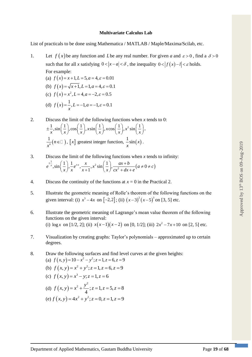### **Multivariate Calculus Lab**

List of practicals to be done using Mathematica / MATLAB / Maple/Maxima/Scilab, etc.

- 1. Let  $f(x)$  be any function and L be any real number. For given *a* and  $\varepsilon > 0$ , find a  $\delta > 0$ such that for all *x* satisfying  $0 < |x - a| < \delta$ , the inequality  $0 < |f(x) - b| < \varepsilon$  holds. For example:
	- (a)  $f(x) = x+1, L = 5, a = 4, \varepsilon = 0.01$ (b)  $f(x) = \sqrt{x+1}, L = 1, a = 4, \varepsilon = 0.1$ (c)  $f(x) = x^2, L = 4, a = -2, \varepsilon = 0.5$ (d)  $f(x) = \frac{1}{x}, L = -1, a = -1, \varepsilon = 0.1$  $=-$  .  $L$   $=-$  1.  $a$   $=-$  1.  $\varepsilon$   $=$
- 2. Discuss the limit of the following functions when *x* tends to 0:  $\pm \frac{1}{x}, \sin\left(\frac{1}{x}\right), \cos\left(\frac{1}{x}\right), x \sin\left(\frac{1}{x}\right), x \cos\left(\frac{1}{x}\right), x^2 \sin\left(\frac{1}{x}\right),$  $\frac{1}{n}(n \in \square)$  $\overline{n}$ (*n*  $\frac{1}{x^n}$ ( $n \in \square$ ), [x] greatest integer function,  $\frac{1}{x}$ sin(x)  $\frac{1}{x}$ sin $(x)$ .
- 3. Discuss the limit of the following functions when *x* tends to infinity:  $\int_{0}^{\frac{1}{x}}$ ,  $\sin\left(\frac{1}{x}\right)$ ,  $\frac{1}{2}e^{\pm x}$ ,  $\frac{x}{\sqrt{1-x}}$ ,  $x^2 \sin\left(\frac{1}{x}\right)$ ,  $\frac{ax+b}{\sqrt{1-x^2+1}}$   $(a \neq 0 \neq c)$ 2  $\sin\left(\frac{1}{x}\right), \frac{1}{x}e^{\pm x}, \frac{x}{x+1}, x^2 \sin\left(\frac{1}{x}\right), \frac{ax+b}{cx^2+dx+e} (a \neq 0)$  $e^{\pm \frac{1}{x}}, \sin\left(\frac{1}{x}\right), \frac{1}{x}e^{\pm x}, \frac{x}{x+1}, x^2 \sin\left(\frac{1}{x}\right), \frac{ax+b}{cx^2+dx+e}$   $(a \neq 0 \neq c)$  $\pm \frac{1}{r}$  (1) 1  $\pm x$  x 2 (1)  $ax +$  $\left(\frac{1}{x}\right), \frac{1}{x}e^{x}$ ,  $\frac{1}{x+1}$ ,  $x^2 \sin\left(\frac{1}{x}\right), \frac{1}{cx^2+dx+e}$   $\left(a \neq 0 \neq 0\right)$
- 4. Discuss the continuity of the functions at  $x = 0$  in the Practical 2.
- 5. Illustrate the geometric meaning of Rolle's theorem of the following functions on the given interval: (i)  $x^3 - 4x$  on  $[-2,2]$ ; (ii)  $(x-3)^2(x-5)^3$  on [3, 5] etc.
- 6. Illustrate the geometric meaning of Lagrange's mean value theorem of the following functions on the given interval: (i)  $\log x$  on [1/2, 2]; (ii)  $x(x-1)(x-2)$  on [0, 1/2]; (iii)  $2x^2 - 7x + 10$  on [2, 5] etc.
- 7. Visualization by creating graphs: Taylor's polynomials approximated up to certain degrees.
- 8. Draw the following surfaces and find level curves at the given heights: (a)  $f(x, y) = 10 - x^2 - y^2$ ;  $z = 1$ ,  $z = 6$ ,  $z = 9$ (b)  $f(x, y) = x^2 + y^2$ ;  $z = 1$ ,  $z = 6$ ,  $z = 9$ (c)  $f(x, y) = x^3 - y$ ;  $z = 1$ ,  $z = 6$ (d)  $f(x, y)$ 2  $y^2$  $(y) = x^2 + \frac{y^2}{4}$ ;  $z = 1$ ,  $z = 5$ ,  $z = 8$  $f(x, y) = x^2 + \frac{y^2}{4}$ ;  $z = 1$ ,  $z = 5$ ,  $z = 8$ (e)  $f(x, y) = 4x^2 + y^2$ ;  $z = 0$ ,  $z = 1$ ,  $z = 9$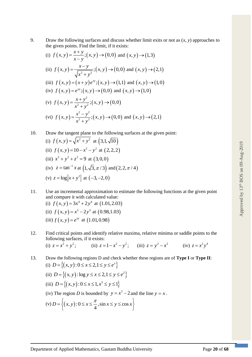9. Draw the following surfaces and discuss whether limit exits or not as  $(x, y)$  approaches to the given points. Find the limit, if it exists:

(i) 
$$
f(x, y) = \frac{x + y}{x - y}
$$
;  $(x, y) \rightarrow (0, 0)$  and  $(x, y) \rightarrow (1, 3)$   
\n(ii)  $f(x, y) = \frac{x - y}{\sqrt{x^2 + y^2}}$ ;  $(x, y) \rightarrow (0, 0)$  and  $(x, y) \rightarrow (2, 1)$   
\n(iii)  $f(x, y) = (x + y)e^{xy}$ ;  $(x, y) \rightarrow (1, 1)$  and  $(x, y) \rightarrow (1, 0)$   
\n(iv)  $f(x, y) = e^{xy}$ ;  $(x, y) \rightarrow (0, 0)$  and  $(x, y) \rightarrow (1, 0)$   
\n(v)  $f(x, y) = \frac{x + y^2}{x^2 + y^2}$ ;  $(x, y) \rightarrow (0, 0)$   
\n(vi)  $f(x, y) = \frac{x^2 - y^2}{x^2 + y^2}$ ;  $(x, y) \rightarrow (0, 0)$  and  $(x, y) \rightarrow (2, 1)$ 

10. Draw the tangent plane to the following surfaces at the given point:  
\n(i) 
$$
f(x, y) = \sqrt{x^2 + y^2}
$$
 at  $(3, 1, \sqrt{10})$   
\n(ii)  $f(x, y) = 10 - x^2 - y^2$  at  $(2, 2, 2)$   
\n(iii)  $x^2 + y^2 + z^2 = 9$  at  $(3, 0, 0)$   
\n(iv)  $z = \tan^{-1} x$  at  $(1, \sqrt{3}, \pi/3)$  and  $(2, 2, \pi/4)$   
\n(v)  $z = \log |x + y^2|$  at  $(-3, -2, 0)$ 

- 11. Use an incremental approximation to estimate the following functions at the given point and compare it with calculated value: (i)  $f(x, y) = 3x^4 + 2y^4$  at  $(1.01, 2.03)$ (ii)  $f(x, y) = x^5 - 2y^3$  at  $(0.98, 1.03)$ (iii)  $f(x, y) = e^{xy}$  at  $(1.01, 0.98)$
- 12. Find critical points and identify relative maxima, relative minima or saddle points to the following surfaces, if it exists: (i)  $z = x^2 + y^2$ ; (iii)  $z = 1 - x^2 - y^2$ ; (iii)  $z = y^2 - x^2$  $(z)$   $z = x^2 y^4$
- 13. Draw the following regions D and check whether these regions are of **Type I** or **Type II**: (i)  $D = \{(x, y) : 0 \le x \le 2, 1 \le y \le e^x\}$ (ii)  $D = \{(x, y) : \log y \le x \le 2, 1 \le y \le e^2\}$ (iii)  $D = \{(x, y) : 0 \le x \le 1, x^3 \le y \le 1\}$ (iv) The region *D* is bounded by  $y = x^2 - 2$  and the line  $y = x$ .  $(v) D = \left\{ (x, y) : 0 \le x \le \frac{\pi}{4}, \sin x \le y \le \cos x \right\}$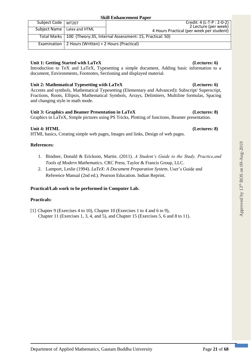| Subject Code   MT207 |                                                                       | Credit: 4 (L-T-P : 2-0-2)<br>2 Lecture (per week) |  |  |
|----------------------|-----------------------------------------------------------------------|---------------------------------------------------|--|--|
|                      | Subject Name   Latex and HTML                                         | 4 Hours Practical (per week per student)          |  |  |
|                      | Total Marks   100 (Theory:35, Internal Assessment: 15, Practical: 50) |                                                   |  |  |
|                      | Examination $\sqrt{2}$ Hours (Written) + 2 Hours (Practical)          |                                                   |  |  |

# **Unit 1: Getting Started with LaTeX (Lectures: 6)**

Introduction to TeX and LaTeX, Typesetting a simple document, Adding basic information to a document, Environments, Footnotes, Sectioning and displayed material.

# **Unit 2: Mathematical Typesetting with LaTeX (Lectures: 6)**

Accents and symbols, Mathematical Typesetting (Elementary and Advanced)**:** Subscript/ Superscript, Fractions, Roots, Ellipsis, Mathematical Symbols, Arrays, Delimiters, Multiline formulas, Spacing and changing style in math mode.

# **Unit 3: Graphics and Beamer Presentation in LaTeX (Lectures: 8)**

Graphics in LaTeX, Simple pictures using PS Tricks, Plotting of functions, Beamer presentation.

# **Unit 4: HTML (Lectures: 8)**

HTML basics, Creating simple web pages, Images and links, Design of web pages.

### **References:**

- 1. Bindner, Donald & Erickson, Martin. (2011). *A Student's Guide to the Study, Practice,and Tools of Modern Mathematics*. CRC Press, Taylor & Francis Group, LLC.
- 2. Lamport, Leslie (1994). *LaTeX*: *A Document Preparation System*, User's Guide and Reference Manual (2nd ed.). Pearson Education. Indian Reprint.

# **Practical/Lab work to be performed in Computer Lab.**

### **Practicals:**

[1] Chapter 9 (Exercises 4 to 10), Chapter 10 (Exercises 1 to 4 and 6 to 9), Chapter 11 (Exercises 1, 3, 4, and 5), and Chapter 15 (Exercises 5, 6 and 8 to 11).

# Approved by 13<sup>th</sup> BOS on 09-Aug-2019 Approved by  $13<sup>th</sup>$  BOS on 09-Aug-2019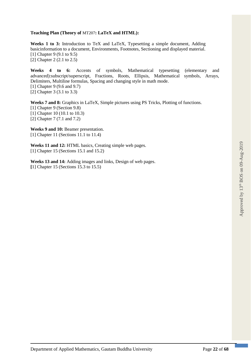### **Teaching Plan (Theory of** MT207**: LaTeX and HTML):**

**Weeks 1 to 3:** Introduction to TeX and LaTeX, Typesetting a simple document, Adding basicinformation to a document, Environments, Footnotes, Sectioning and displayed material. [1] Chapter 9 (9.1 to 9.5) [2] Chapter 2 (2.1 to 2.5)

**Weeks 4 to 6:** Accents of symbols, Mathematical typesetting (elementary and advanced):subscript/superscript, Fractions, Roots, Ellipsis, Mathematical symbols, Arrays, Delimiters, Multiline formulas, Spacing and changing style in math mode. [1] Chapter 9 (9.6 and 9.7) [2] Chapter 3 (3.1 to 3.3)

Weeks 7 and 8: Graphics in LaTeX, Simple pictures using PS Tricks, Plotting of functions. [1] Chapter 9 (Section 9.8) [1] Chapter 10 (10.1 to 10.3) [2] Chapter 7 (7.1 and 7.2)

**Weeks 9 and 10:** Beamer presentation. [1] Chapter 11 (Sections 11.1 to 11.4)

**Weeks 11 and 12:** HTML basics, Creating simple web pages. [1] Chapter 15 (Sections 15.1 and 15.2)

**Weeks 13 and 14:** Adding images and links, Design of web pages. **[**1] Chapter 15 (Sections 15.3 to 15.5)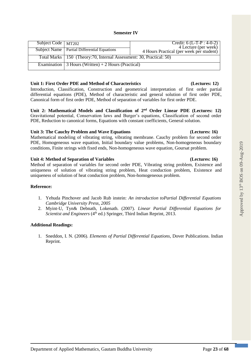Department of Applied Mathematics, Gautam Buddha University Page **23** of **68**

### **Semester IV**

| Subject Code   MT202 |                                                                        | Credit: $6$ (L-T-P : 4-0-2)<br>4 Lecture (per week) |
|----------------------|------------------------------------------------------------------------|-----------------------------------------------------|
|                      | <b>Subject Name</b>   Partial Differential Equations                   | 4 Hours Practical (per week per student)            |
|                      | Total Marks   150 (Theory: 70, Internal Assessment: 30, Practical: 50) |                                                     |
|                      | Examination $\vert$ 3 Hours (Written) + 2 Hours (Practical)            |                                                     |

### **Unit 1: First Order PDE and Method of Characteristics (Lectures: 12)**

Introduction, Classification, Construction and geometrical interpretation of first order partial differential equations (PDE), Method of characteristic and general solution of first order PDE, Canonical form of first order PDE, Method of separation of variables for first order PDE.

**Unit 2: Mathematical Models and Classification of 2nd Order Linear PDE (Lectures: 12)**  Gravitational potential, Conservation laws and Burger's equations, Classification of second order PDE, Reduction to canonical forms, Equations with constant coefficients, General solution.

### **Unit 3: The Cauchy Problem and Wave Equations (Lectures: 16)**

Mathematical modeling of vibrating string, vibrating membrane. Cauchy problem for second order PDE, Homogeneous wave equation, Initial boundary value problems, Non-homogeneous boundary conditions, Finite strings with fixed ends, Non-homogeneous wave equation, Goursat problem.

### **Unit 4: Method of Separation of Variables (Lectures: 16)**

Method of separation of variables for second order PDE, Vibrating string problem, Existence and uniqueness of solution of vibrating string problem, Heat conduction problem, Existence and uniqueness of solution of heat conduction problem, Non-homogeneous problem.

# **Reference:**

- 1. Yehuda Pinchover and Jacob Rub instein: *An introduction toPartial Differential Equations Cambridge University Press, 2005*
- 2. Myint-U, Tyn& Debnath, Lokenath. (2007). *Linear Partial Differential Equations for Scientist and Engineers* (4<sup>th</sup> ed.) Springer, Third Indian Reprint, 2013.

# **Additional Readings:**

1. Sneddon, I. N. (2006). *Elements of Partial Differential Equations*, Dover Publications. Indian Reprint.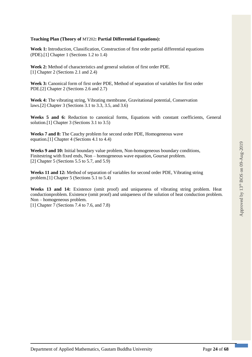### **Teaching Plan (Theory of** MT202**: Partial Differential Equations):**

**Week 1:** Introduction, Classification, Construction of first order partial differential equations (PDE).[1] Chapter 1 (Sections 1.2 to 1.4)

**Week 2:** Method of characteristics and general solution of first order PDE. [1] Chapter 2 (Sections 2.1 and 2.4)

**Week 3:** Canonical form of first order PDE, Method of separation of variables for first order PDE.[2] Chapter 2 (Sections 2.6 and 2.7)

**Week 4:** The vibrating string, Vibrating membrane, Gravitational potential, Conservation laws.[2] Chapter 3 (Sections 3.1 to 3.3, 3.5, and 3.6)

**Weeks 5 and 6:** Reduction to canonical forms, Equations with constant coefficients, General solution.[1] Chapter 3 (Sections 3.1 to 3.5)

**Weeks 7 and 8:** The Cauchy problem for second order PDE, Homogeneous wave equation.[1] Chapter 4 (Sections 4.1 to 4.4)

**Weeks 9 and 10:** Initial boundary value problem, Non-homogeneous boundary conditions, Finitestring with fixed ends, Non – homogeneous wave equation, Goursat problem. [2] Chapter 5 (Sections 5.5 to 5.7, and 5.9)

**Weeks 11 and 12:** Method of separation of variables for second order PDE, Vibrating string problem.[1] Chapter 5 (Sections 5.1 to 5.4)

**Weeks 13 and 14:** Existence (omit proof) and uniqueness of vibrating string problem. Heat conductionproblem. Existence (omit proof) and uniqueness of the solution of heat conduction problem. Non – homogeneous problem.

[1] Chapter 7 (Sections 7.4 to 7.6, and 7.8)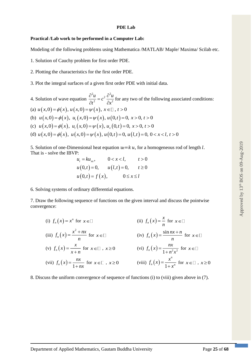### **PDE Lab**

### **Practical /Lab work to be performed in a Computer Lab:**

Modeling of the following problems using Mathematica /MATLAB/ Maple/ Maxima/ Scilab etc.

1. Solution of Cauchy problem for first order PDE.

- 2. Plotting the characteristics for the first order PDE.
- 3. Plot the integral surfaces of a given first order PDE with initial data.

4. Solution of wave equation <sup>2</sup>u<sub>2</sub> $\partial^2$ 2 2  $\frac{u}{2} = c^2 \frac{\partial u}{\partial x}$ *t*  $\partial x$  $\frac{\partial^2 u}{\partial t^2} = c^2 \frac{\partial^2 u}{\partial x^2}$  for any two of the following associated conditions: (a)  $u(x,0) = \phi(x)$ ,  $u(x,0) = \psi(x)$ ,  $x \in \Box$ ,  $t > 0$ (b)  $u(x,0) = \phi(x), u_t(x,0) = \psi(x), u(0,t) = 0, x > 0, t > 0$ (c)  $u(x,0) = \phi(x)$ ,  $u_t(x,0) = \psi(x)$ ,  $u_x(0,t) = 0$ ,  $x > 0$ ,  $t > 0$ (d)  $u(x,0) = \phi(x)$ ,  $u(x,0) = \psi(x)$ ,  $u(0,t) = 0$ ,  $u(l,t) = 0$ ,  $0 < x < l$ ,  $t > 0$ 

5. Solution of one-Dimensional heat equation  $u = k u$ , for a homogeneous rod of length l. That is - solve the IBVP:

$$
u_{t} = ku_{xx}, \t 0 < x < l, \t t > 0
$$
  
 
$$
u(0,t) = 0, \t u(l,t) = 0, \t t \ge 0
$$
  
 
$$
u(0,t) = f(x), \t 0 \le x \le l
$$

6. Solving systems of ordinary differential equations.

7. Draw the following sequence of functions on the given interval and discuss the pointwise convergence:

(i) 
$$
f_n(x) = x^n
$$
 for  $x \in \square$   
\n(ii)  $f_n(x) = \frac{x}{n}$  for  $x \in \square$   
\n(iii)  $f_n(x) = \frac{x^2 + nx}{n}$  for  $x \in \square$   
\n(iv)  $f_n(x) = \frac{\sin nx + n}{n}$  for  $x \in \square$   
\n(v)  $f_n(x) = \frac{x}{x + n}$  for  $x \in \square$ ,  $x \ge 0$   
\n(vi)  $f_n(x) = \frac{nx}{1 + n^2 x^2}$  for  $x \in \square$   
\n(vii)  $f_n(x) = \frac{nx}{1 + nx}$  for  $x \in \square$ ,  $x \ge 0$   
\n(viii)  $f_n(x) = \frac{x^n}{1 + x^n}$  for  $x \in \square$ ,  $x \ge 0$ 

8. Discuss the uniform convergence of sequence of functions (i) to (viii) given above in (7).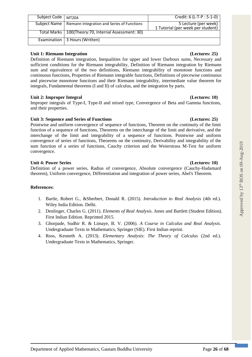| Unit 1: Riemann Integration |                                                                                                   | (Lectures: 25) |
|-----------------------------|---------------------------------------------------------------------------------------------------|----------------|
|                             | Definition of Riemann integration, Inequalities for upper and lower Darboux sums, Necessary and   |                |
|                             | sufficient conditions for the Riemann integrability, Definition of Riemann integration by Riemann |                |

Total Marks 100(Theory:70, Internal Assessment: 30)

sufficient conditions for the Riemann integrability, Definition of Riemann integration by Riemann sum and equivalence of the two definitions, Riemann integrability of monotone functions and continuous functions, Properties of Riemann integrable functions, Definitions of piecewise continuous and piecewise monotone functions and their Riemann integrability, intermediate value theorem for integrals, Fundamental theorems (I and II) of calculus, and the integration by parts.

Subject Code | MT204 Credit: 6 (L-T-P : 5-1-0) Subject Name | Riemann Integration and Series of Functions | 5 Lecture (per week)

# Unit 2: Improper Integral *(Lectures: 10) (Lectures: 10)*

Improper integrals of Type-I, Type-II and mixed type, Convergence of Beta and Gamma functions, and their properties.

### **Unit 3: Sequence and Series of Functions (Lectures: 25)**

Examination 3 Hours (Written)

Pointwise and uniform convergence of sequence of functions, Theorem on the continuity of the limit function of a sequence of functions, Theorems on the interchange of the limit and derivative, and the interchange of the limit and integrability of a sequence of functions. Pointwise and uniform convergence of series of functions, Theorems on the continuity, Derivability and integrability of the sum function of a series of functions, Cauchy criterion and the Weierstrass M-Test for uniform convergence.

### **Unit 4: Power Series (Lectures: 10)**

Definition of a power series, Radius of convergence, Absolute convergence (Cauchy-Hadamard theorem), Uniform convergence, Differentiation and integration of power series, Abel's Theorem.

### **References:**

- 1. Bartle, Robert G., &Sherbert, Donald R. (2015). *Introduction to Real Analysis* (4th ed.). Wiley India Edition. Delhi.
- 2. Denlinger, Charles G. (2011). *Elements of Real Analysis*. Jones and Bartlett (Student Edition). First Indian Edition. Reprinted 2015.
- 3. Ghorpade, Sudhir R. & Limaye, B. V. (2006). *A Course in Calculus and Real Analysis*. Undergraduate Texts in Mathematics, Springer (SIE). First Indian reprint.
- 4. Ross, Kenneth A. (2013). *Elementary Analysis*: *The Theory of Calculus* (2nd ed.). Undergraduate Texts in Mathematics, Springer.

1 Tutorial (per week per student)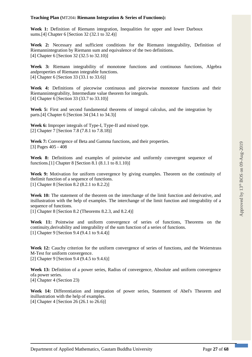### **Teaching Plan (**MT204**: Riemann Integration & Series of Functions):**

Week 1: Definition of Riemann integration, Inequalities for upper and lower Darboux sums.[4] Chapter 6 [Section 32 (32.1 to 32.4)]

**Week 2:** Necessary and sufficient conditions for the Riemann integrability, Definition of Riemannintegration by Riemann sum and equivalence of the two definitions. [4] Chapter 6 [Section 32 (32.5 to 32.10)]

**Week 3:** Riemann integrability of monotone functions and continuous functions, Algebra andproperties of Riemann integrable functions. [4] Chapter 6 [Section 33 (33.1 to 33.6)]

**Week 4:** Definitions of piecewise continuous and piecewise monotone functions and their Riemannintegrability, Intermediate value theorem for integrals. [4] Chapter 6 [Section 33 (33.7 to 33.10)]

**Week 5:** First and second fundamental theorems of integral calculus, and the integration by parts.[4] Chapter 6 [Section 34 (34.1 to 34.3)]

**Week 6:** Improper integrals of Type-I, Type-II and mixed type. [2] Chapter 7 [Section 7.8 (7.8.1 to 7.8.18)]

**Week 7:** Convergence of Beta and Gamma functions, and their properties. [3] Pages 405 - 408

Week 8: Definitions and examples of pointwise and uniformly convergent sequence of functions.[1] Chapter 8 [Section 8.1 (8.1.1 to 8.1.10)]

Week 9: Motivation for uniform convergence by giving examples. Theorem on the continuity of thelimit function of a sequence of functions. [1] Chapter 8 [Section 8.2 (8.2.1 to 8.2.2)]

**Week 10:** The statement of the theorem on the interchange of the limit function and derivative, and itsillustration with the help of examples. The interchange of the limit function and integrability of a sequence of functions.

[1] Chapter 8 [Section 8.2 (Theorems 8.2.3, and 8.2.4)]

**Week 11:** Pointwise and uniform convergence of series of functions, Theorems on the continuity,derivability and integrability of the sum function of a series of functions. [1] Chapter 9 [Section 9.4 (9.4.1 to 9.4.4)]

Week 12: Cauchy criterion for the uniform convergence of series of functions, and the Weierstrass M-Test for uniform convergence. [2] Chapter 9 [Section 9.4 (9.4.5 to 9.4.6)]

Week 13: Definition of a power series, Radius of convergence, Absolute and uniform convergence ofa power series. [4] Chapter 4 (Section 23)

**Week 14:** Differentiation and integration of power series, Statement of Abel's Theorem and itsillustration with the help of examples. [4] Chapter 4 [Section  $26(26.1 \text{ to } 26.6)$ ]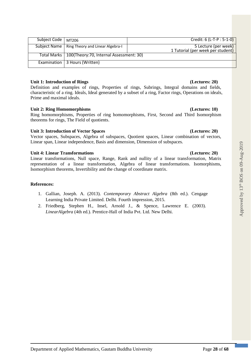| Subject Code | MT206                                                  | Credit: 6 (L-T-P : 5-1-0)                                 |
|--------------|--------------------------------------------------------|-----------------------------------------------------------|
|              | Subject Name   Ring Theory and Linear Algebra-I        | 5 Lecture (per week)<br>1 Tutorial (per week per student) |
|              | Total Marks   100(Theory: 70, Internal Assessment: 30) |                                                           |
|              | Examination   3 Hours (Written)                        |                                                           |

# **Unit 1: Introduction of Rings (Lectures: 20)**

Definition and examples of rings, Properties of rings, Subrings, Integral domains and fields, characteristic of a ring. Ideals, Ideal generated by a subset of a ring, Factor rings, Operations on ideals, Prime and maximal ideals.

# **Unit 2: Ring Homomorphisms (Lectures: 10)**

Ring homomorphisms, Properties of ring homomorphisms, First, Second and Third Isomorphism theorems for rings, The Field of quotients.

# **Unit 3: Introduction of Vector Spaces (Lectures: 20)**

Vector spaces, Subspaces, Algebra of subspaces, Quotient spaces, Linear combination of vectors, Linear span, Linear independence, Basis and dimension, Dimension of subspaces.

# **Unit 4: Linear Transformations (Lectures: 20)**

Linear transformations, Null space, Range, Rank and nullity of a linear transformation, Matrix representation of a linear transformation, Algebra of linear transformations. Isomorphisms, Isomorphism theorems, Invertibility and the change of coordinate matrix.

# **References:**

- 1. Gallian, Joseph. A. (2013). *Contemporary Abstract Algebra* (8th ed.). Cengage Learning India Private Limited. Delhi. Fourth impression, 2015.
- 2. Friedberg, Stephen H., Insel, Arnold J., & Spence, Lawrence E. (2003). *LinearAlgebra* (4th ed.). Prentice-Hall of India Pvt. Ltd. New Delhi.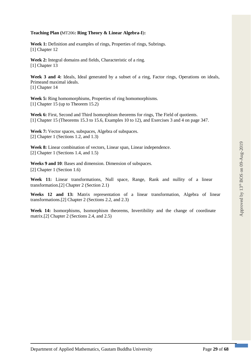### **Teaching Plan (**MT206**: Ring Theory & Linear Algebra-I**)**:**

Week 1: Definition and examples of rings, Properties of rings, Subrings. [1] Chapter 12

**Week 2:** Integral domains and fields, Characteristic of a ring. [1] Chapter 13

Week 3 and 4: Ideals, Ideal generated by a subset of a ring, Factor rings, Operations on ideals, Primeand maximal ideals. [1] Chapter 14

**Week 5:** Ring homomorphisms, Properties of ring homomorphisms. [1] Chapter 15 (up to Theorem 15.2)

Week 6: First, Second and Third Isomorphism theorems for rings, The Field of quotients. [1] Chapter 15 (Theorems 15.3 to 15.6, Examples 10 to 12), and Exercises 3 and 4 on page 347.

**Week 7:** Vector spaces, subspaces, Algebra of subspaces. [2] Chapter 1 (Sections 1.2, and 1.3)

Week 8: Linear combination of vectors, Linear span, Linear independence. [2] Chapter 1 (Sections 1.4, and 1.5)

**Weeks 9 and 10**: Bases and dimension. Dimension of subspaces. [2] Chapter 1 (Section 1.6)

**Week 11:** Linear transformations, Null space, Range, Rank and nullity of a linear transformation.[2] Chapter 2 (Section 2.1)

**Weeks 12 and 13:** Matrix representation of a linear transformation, Algebra of linear transformations.[2] Chapter 2 (Sections 2.2, and 2.3)

**Week 14:** Isomorphisms, Isomorphism theorems, Invertibility and the change of coordinate matrix.[2] Chapter 2 (Sections 2.4, and 2.5)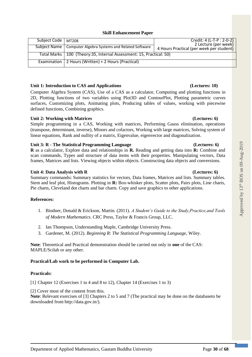### **Skill Enhancement Paper**

| Subject Code   MT208 |                                                                       | Credit: 4 (L-T-P : 2-0-2)<br>2 Lecture (per week) |
|----------------------|-----------------------------------------------------------------------|---------------------------------------------------|
|                      | Subject Name   Computer Algebra Systems and Related Software          | 4 Hours Practical (per week per student)          |
|                      | Total Marks   100 (Theory:35, Internal Assessment: 15, Practical: 50) |                                                   |
|                      | Examination   2 Hours (Written) + 2 Hours (Practical)                 |                                                   |

### **Unit 1: Introduction to CAS and Applications (Lectures: 10)**

Computer Algebra System (CAS), Use of a CAS as a calculator, Computing and plotting functions in 2D, Plotting functions of two variables using Plot3D and ContourPlot, Plotting parametric curves surfaces, Customizing plots, Animating plots, Producing tables of values, working with piecewise defined functions, Combining graphics.

### **Unit 2: Working with Matrices (Lectures: 6)**

Simple programming in a CAS, Working with matrices, Performing Gauss elimination, operations (transpose, determinant, inverse), Minors and cofactors, Working with large matrices, Solving system of linear equations, Rank and nullity of a matrix, Eigenvalue, eigenvector and diagonalization.

### **Unit 3: R - The Statistical Programming Language (Lectures: 6)**

**R** as a calculator, Explore data and relationships in **R.** Reading and getting data into **R:** Combine and scan commands, Types and structure of data items with their properties. Manipulating vectors, Data frames, Matrices and lists. Viewing objects within objects. Constructing data objects and conversions.

### **Unit 4: Data Analysis with R (Lectures: 6)**

Summary commands**:** Summary statistics for vectors, Data frames, Matrices and lists. Summary tables. Stem and leaf plot, Histograms. Plotting in **R:** Box-whisker plots, Scatter plots, Pairs plots, Line charts, Pie charts, Cleveland dot charts and bar charts. Copy and save graphics to other applications.

### **References:**

- 1. Bindner, Donald & Erickson, Martin. (2011). *A Student's Guide to the Study,Practice,and Tools of Modern Mathematics*. CRC Press, Taylor & Francis Group, LLC.
- 2. Ian Thompson, Understanding Maple, Cambridge University Press.
- 3. Gardener, M. (2012). *Beginning R*: *The Statistical Programming Language*, Wiley.

**Note**: Theoretical and Practical demonstration should be carried out only in **one** of the CAS: MAPLE/Scilab or any other.

### **Practical/Lab work to be performed in Computer Lab.**

### **Practicals:**

[1] Chapter 12 (Exercises 1 to 4 and 8 to 12), Chapter 14 (Exercises 1 to 3)

[2] Cover most of the content from this.

**Note**: Relevant exercises of [3] Chapters 2 to 5 and 7 (The practical may be done on the databaseto be downloaded from http://data.gov.in/).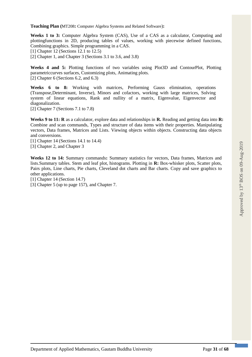**Teaching Plan (**MT208**:** Computer Algebra Systems and Related Software)**:**

**Weeks 1 to 3:** Computer Algebra System (CAS), Use of a CAS as a calculator, Computing and plottingfunctions in 2D, producing tables of values, working with piecewise defined functions, Combining graphics. Simple programming in a CAS.

[1] Chapter 12 (Sections 12.1 to 12.5)

[2] Chapter 1, and Chapter 3 (Sections 3.1 to 3.6, and 3.8)

**Weeks 4 and 5:** Plotting functions of two variables using Plot3D and ContourPlot, Plotting parametriccurves surfaces, Customizing plots, Animating plots. [2] Chapter 6 (Sections 6.2, and 6.3)

**Weeks 6 to 8:** Working with matrices, Performing Gauss elimination, operations (Transpose,Determinant, Inverse), Minors and cofactors, working with large matrices, Solving system of linear equations, Rank and nullity of a matrix, Eigenvalue, Eigenvector and diagonalization.

[2] Chapter 7 (Sections 7.1 to 7.8)

**Weeks 9 to 11: R** as a calculator, explore data and relationships in **R**. Reading and getting data into **R**: Combine and scan commands, Types and structure of data items with their properties. Manipulating vectors, Data frames, Matrices and Lists. Viewing objects within objects. Constructing data objects and conversions.

[1] Chapter 14 (Sections 14.1 to 14.4) [3] Chapter 2, and Chapter 3

**Weeks 12 to 14:** Summary commands**:** Summary statistics for vectors, Data frames, Matrices and lists.Summary tables. Stem and leaf plot, histograms. Plotting in **R:** Box-whisker plots, Scatter plots, Pairs plots, Line charts, Pie charts, Cleveland dot charts and Bar charts. Copy and save graphics to other applications.

[1] Chapter 14 (Section 14.7)

[3] Chapter 5 (up to page 157), and Chapter 7.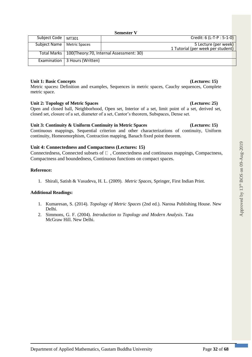**Semester V**

| Subject Code   MT301         |                                 | Credit: 6 (L-T-P : 5-1-0)                              |
|------------------------------|---------------------------------|--------------------------------------------------------|
|                              |                                 |                                                        |
|                              |                                 |                                                        |
| Subject Name   Metric Spaces |                                 | 5 Lecture (per week)                                   |
|                              |                                 |                                                        |
|                              |                                 | 1 Tutorial (per week per student)                      |
|                              |                                 |                                                        |
|                              |                                 | Total Marks   100(Theory: 70, Internal Assessment: 30) |
|                              |                                 |                                                        |
|                              |                                 |                                                        |
|                              |                                 |                                                        |
|                              | Examination   3 Hours (Written) |                                                        |
|                              |                                 |                                                        |
|                              |                                 |                                                        |

### **Unit 1: Basic Concepts (Lectures: 15)**

Metric spaces**:** Definition and examples, Sequences in metric spaces, Cauchy sequences, Complete metric space.

### **Unit 2: Topology of Metric Spaces (Lectures: 25)**

Open and closed ball, Neighborhood, Open set, Interior of a set, limit point of a set, derived set, closed set, closure of a set, diameter of a set, Cantor's theorem, Subspaces, Dense set.

### **Unit 3: Continuity & Uniform Continuity in Metric Spaces (Lectures: 15)**

Continuous mappings, Sequential criterion and other characterizations of continuity, Uniform continuity, Homeomorphism, Contraction mapping, Banach fixed point theorem.

### **Unit 4: Connectedness and Compactness (Lectures: 15)**

Connectedness, Connected subsets of  $\Box$ , Connectedness and continuous mappings, Compactness, Compactness and boundedness, Continuous functions on compact spaces.

### **Reference:**

1. Shirali, Satish & Vasudeva, H. L. (2009). *Metric Spaces*, Springer, First Indian Print.

### **Additional Readings:**

- 1. Kumaresan, S. (2014). *Topology of Metric Spaces* (2nd ed.). Narosa Publishing House. New Delhi.
- 2. Simmons, G. F. (2004). *Introduction to Topology and Modern Analysis*. Tata McGraw Hill. New Delhi.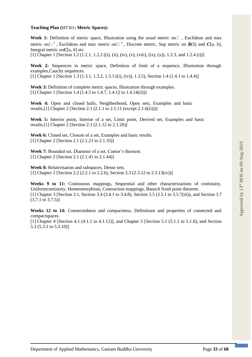### **Teaching Plan (**MT301**: Metric Spaces):**

Week 1: Definition of metric space, Illustration using the usual metric on  $\Box$ , Euclidean and max metric on  $\Box$  <sup>2</sup>, Euclidean and max metric on  $\Box$  <sup>n</sup>, Discrete metric, Sup metric on  $B(S)$  and  $C[a, b]$ , Integral metric on $C[a, b]$  etc.

[1] Chapter 1 [Section 1.2 (1.2.1, 1.2.2 ((i), (ii), (iv), (v), (viii), (ix), (x)), 1.2.3, and 1.2.4 (i))]

**Week 2:** Sequences in metric space, Definition of limit of a sequence, Illustration through examples,Cauchy sequences.

[1] Chapter 1 [Section 1.3 (1.3.1, 1.3.2, 1.3.3 ((i), (iv)), 1.3.5), Section 1.4 (1.4.1 to 1.4.4)]

Week 3: Definition of complete metric spaces, Illustration through examples. [1] Chapter 1 [Section 1.4 (1.4.5 to 1.4.7, 1.4.12 to 1.4.14(ii))]

**Week 4:** Open and closed balls, Neighborhood, Open sets, Examples and basic results.[1] Chapter 2 [Section 2.1 (2.1.1 to 2.1.11 (except 2.1.6(ii)))]

**Week 5:** Interior point, Interior of a set, Limit point, Derived set, Examples and basic results.[1] Chapter 2 [Section 2.1 (2.1.12 to 2.1.20)]

**Week 6:** Closed set, Closure of a set, Examples and basic results. [1] Chapter 2 [Section 2.1 (2.1.21 to 2.1.35)]

**Week 7:** Bounded set, Diameter of a set, Cantor's theorem. [1] Chapter 2 [Section 2.1 (2.1.41 to 2.1.44)]

**Week 8:** Relativisation and subspaces, Dense sets. [1] Chapter 2 [Section 2.2 (2.2.1 to 2.2.6), Section 2.3 (2.3.12 to 2.3.13(iv))]

**Weeks 9 to 11:** Continuous mappings, Sequential and other characterizations of continuity, Uniformcontinuity, Homeomorphism, Contraction mappings, Banach fixed point theorem. [1] Chapter 3 [Section 3.1, Section 3.4 (3.4.1 to 3.4.8), Section 3.5 (3.5.1 to 3.5.7(iii)), and Section 3.7  $(3.7.1 \text{ to } 3.7.5)$ ]

**Weeks 12 to 14:** Connectedness and compactness, Definitions and properties of connected and compactspaces.

[1] Chapter 4 [Section 4.1 (4.1.1 to 4.1.12)], and Chapter 5 [Section 5.1 (5.1.1 to 5.1.6), and Section 5.3 (5.3.1 to 5.3.10)]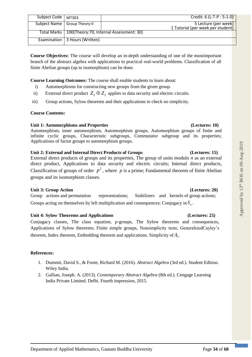| Subject Code   MT303 |                                 | Credit: 6 (L-T-P : 5-1-0)                              |
|----------------------|---------------------------------|--------------------------------------------------------|
|                      | Subject Name   Group Theory-II  | 5 Lecture (per week)                                   |
|                      |                                 | 1 Tutorial (per week per student)                      |
|                      |                                 | Total Marks   100(Theory: 70, Internal Assessment: 30) |
|                      | Examination   3 Hours (Written) |                                                        |

**Course Objectives:** The course will develop an in-depth understanding of one of the mostimportant branch of the abstract algebra with applications to practical real-world problems. Classification of all finite Abelian groups (up to isomorphism) can be done.

**Course Learning Outcomes:** The course shall enable students to learn about:

- i) Automorphisms for constructing new groups from the given group.
- ii) External direct product  $Z_2 \oplus Z_2$  applies to data security and electric circuits.
- iii) Group actions, Sylow theorems and their applications to check no simplicity.

### **Course Contents:**

### **Unit 1: Automorphisms and Properties (Lectures: 10)**

### Automorphism, inner automorphism, Automorphism groups, Automorphism groups of finite and infinite cyclic groups, Characteristic subgroups, Commutator subgroup and its properties; Applications of factor groups to automorphism groups.

### **Unit 2: External and Internal Direct Products of Groups (Lectures: 15)**

External direct products of groups and its properties, The group of units modulo *n* as an external direct product, Applications to data security and electric circuits; Internal direct products, Classification of groups of order  $p^2$ , where p is a prime; Fundamental theorem of finite Abelian groups and its isomorphism classes.

### **Unit 3: Group Action (Lectures: 20)**

Group actions and permutation representations; Stabilizers and kernels of group actions; Groups acting on themselves by left multiplication and consequences; Conjugacy in  $S<sub>n</sub>$ .

### **Unit 4: Sylow Theorems and Applications (Lectures: 25)**

Conjugacy classes, The class equation, *p*-groups, The Sylow theorems and consequences, Applications of Sylow theorems; Finite simple groups, Nonsimplicity tests; GeneralizedCayley's theorem, Index theorem, Embedding theorem and applications. Simplicity of  $A_5$ .

### **References:**

- 1. Dummit, David S., & Foote, Richard M. (2016). *Abstract Algebra* (3rd ed.). Student Edition. Wiley India.
- 2. Gallian, Joseph. A. (2013). *Contemporary Abstract Algebra* (8th ed.). Cengage Learning India Private Limited. Delhi. Fourth impression, 2015.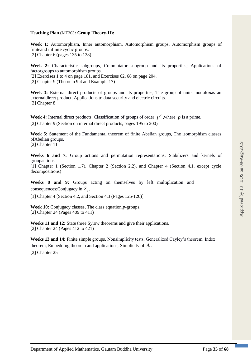### **Teaching Plan (**MT303**: Group Theory-II):**

**Week 1:** Automorphism, Inner automorphism, Automorphism groups, Automorphism groups of finiteand infinite cyclic groups. [2] Chapter 6 (pages 135 to 138)

**Week 2:** Characteristic subgroups, Commutator subgroup and its properties; Applications of factorgroups to automorphism groups.

[2] Exercises 1 to 4 on page 181, and Exercises 62, 68 on page 204.

[2] Chapter 9 (Theorem 9.4 and Example 17)

**Week 3:** External direct products of groups and its properties, The group of units modulo*n*as an externaldirect product, Applications to data security and electric circuits. [2] Chapter 8

**Week 4:** Internal direct products, Classification of groups of order  $p^2$ , where p is a prime. [2] Chapter 9 (Section on internal direct products, pages 195 to 200)

**Week 5:** Statement of th**e** Fundamental theorem of finite Abelian groups, The isomorphism classes ofAbelian groups. [2] Chapter 11

**Weeks 6 and 7:** Group actions and permutation representations; Stabilizers and kernels of groupactions.

[1] Chapter 1 (Section 1.7), Chapter 2 (Section 2.2), and Chapter 4 (Section 4.1, except cycle decompositions)

**Weeks 8 and 9:** Groups acting on themselves by left multiplication and consequences; Conjugacy in  $S_n$ .

[1] Chapter 4 [Section 4.2, and Section 4.3 (Pages 125-126)]

**Week 10:** Conjugacy classes, The class equation,*p*-groups. [2] Chapter 24 (Pages 409 to 411)

Weeks 11 and 12: State three Sylow theorems and give their applications. [2] Chapter 24 (Pages 412 to 421)

**Weeks 13 and 14:** Finite simple groups, Nonsimplicity tests; Generalized Cayley's theorem, Index theorem, Embedding theorem and applications; Simplicity of  $A_5$ . [2] Chapter 25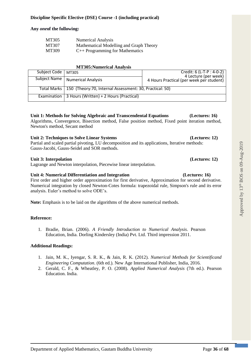### **Discipline Specific Elective (DSE) Course -1 (including practical)**

### **Any** *one***of the following:**

| MT305 | <b>Numerical Analysis</b>               |
|-------|-----------------------------------------|
| MT307 | Mathematical Modelling and Graph Theory |
| MT309 | $C++$ Programming for Mathematics       |

### **MT305:Numerical Analysis**

| Subject Code   MT305 |                                                                        | Credit: 6 (L-T-P : 4-0-2)<br>4 Lecture (per week) |
|----------------------|------------------------------------------------------------------------|---------------------------------------------------|
| Subject Name         | <b>Numerical Analysis</b>                                              | 4 Hours Practical (per week per student)          |
|                      |                                                                        |                                                   |
|                      | Total Marks   150 (Theory: 70, Internal Assessment: 30, Practical: 50) |                                                   |
| Examination          | 3 Hours (Written) + 2 Hours (Practical)                                |                                                   |

# **Unit 1: Methods for Solving Algebraic and Transcendental Equations (Lectures: 16)**

Algorithms, Convergence, Bisection method, False position method, Fixed point iteration method, Newton's method, Secant method

### **Unit 2: Techniques to Solve Linear Systems (Lectures: 12)**

Partial and scaled partial pivoting, LU decomposition and its applications, Iterative methods: Gauss-Jacobi, Gauss-Seidel and SOR methods.

### **Unit 3: Interpolation (Lectures: 12)**

Lagrange and Newton interpolation, Piecewise linear interpolation.

### **Unit 4: Numerical Differentiation and Integration (Lectures: 16)**

First order and higher order approximation for first derivative, Approximation for second derivative. Numerical integration by closed Newton-Cotes formula: trapezoidal rule, Simpson's rule and its error analysis. Euler's method to solve ODE's.

**Note:** Emphasis is to be laid on the algorithms of the above numerical methods.

### **Reference:**

1. Bradie, Brian. (2006). *A Friendly Introduction to Numerical Analysis*. Pearson Education, India. Dorling Kindersley (India) Pvt. Ltd. Third impression 2011.

### **Additional Readings:**

- 1. Jain, M. K., Iyengar, S. R. K., & Jain, R. K. (2012). *Numerical Methods for Scientificand Engineering Computation*. (6th ed.). New Age International Publisher, India, 2016.
- 2. Gerald, C. F., & Wheatley, P. O. (2008). *Applied Numerical Analysis* (7th ed.). Pearson Education. India.

# Approved by 13<sup>th</sup> BOS on 09-Aug-2019 Approved by  $13<sup>th</sup>$  BOS on 09-Aug-2019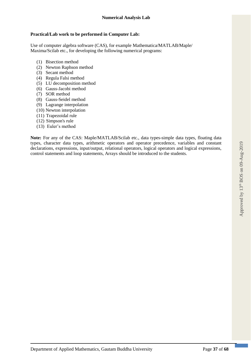### **Practical/Lab work to be performed in Computer Lab:**

Use of computer algebra software (CAS), for example Mathematica/MATLAB/Maple/ Maxima/Scilab etc., for developing the following numerical programs:

- (1) Bisection method
- (2) Newton Raphson method
- (3) Secant method
- (4) Regula Falsi method
- (5) LU decomposition method
- (6) Gauss-Jacobi method
- (7) SOR method
- (8) Gauss-Seidel method
- (9) Lagrange interpolation
- (10) Newton interpolation
- (11) Trapezoidal rule
- (12) Simpson's rule
- (13) Euler's method

**Note:** For any of the CAS: Maple/MATLAB/Scilab etc., data types-simple data types, floating data types, character data types, arithmetic operators and operator precedence, variables and constant declarations, expressions, input/output, relational operators, logical operators and logical expressions, control statements and loop statements, Arrays should be introduced to the students.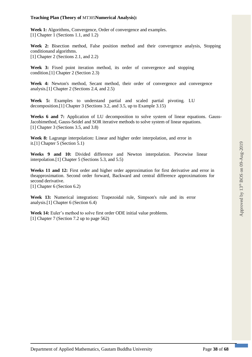### **Teaching Plan (Theory of** MT305**Numerical Analysis):**

Week 1: Algorithms, Convergence, Order of convergence and examples. [1] Chapter 1 (Sections 1.1, and 1.2)

**Week 2:** Bisection method, False position method and their convergence analysis, Stopping conditionand algorithms. [1] Chapter 2 (Sections 2.1, and 2.2)

Week 3: Fixed point iteration method, its order of convergence and stopping condition.[1] Chapter 2 (Section 2.3)

**Week 4:** Newton's method, Secant method, their order of convergence and convergence analysis.[1] Chapter 2 (Sections 2.4, and 2.5)

**Week 5:** Examples to understand partial and scaled partial pivoting. LU decomposition.[1] Chapter 3 (Sections 3.2, and 3.5, up to Example 3.15)

**Weeks 6 and 7:** Application of LU decomposition to solve system of linear equations. Gauss-Jacobimethod, Gauss-Seidel and SOR iterative methods to solve system of linear equations. [1] Chapter 3 (Sections 3.5, and 3.8)

**Week 8:** Lagrange interpolation**:** Linear and higher order interpolation, and error in it.[1] Chapter 5 (Section 5.1)

**Weeks 9 and 10:** Divided difference and Newton interpolation. Piecewise linear interpolation.[1] Chapter 5 (Sections 5.3, and 5.5)

**Weeks 11 and 12:** First order and higher order approximation for first derivative and error in theapproximation. Second order forward, Backward and central difference approximations for second derivative.

[1] Chapter 6 (Section 6.2)

**Week 13:** Numerical integration**:** Trapezoidal rule, Simpson's rule and its error analysis.[1] Chapter 6 (Section 6.4)

**Week 14:** Euler's method to solve first order ODE initial value problems. [1] Chapter 7 (Section 7.2 up to page 562)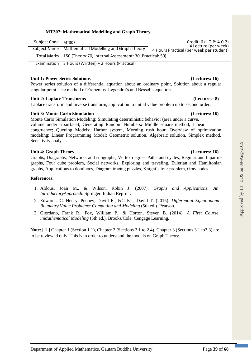### **MT307: Mathematical Modelling and Graph Theory**

| Subject Code | MT307                                                                  | Credit: 6 (L-T-P: 4-0-2)<br>4 Lecture (per week) |
|--------------|------------------------------------------------------------------------|--------------------------------------------------|
|              |                                                                        |                                                  |
|              | Subject Name   Mathematical Modelling and Graph Theory                 | 4 Hours Practical (per week per student)         |
|              | Total Marks   150 (Theory: 70, Internal Assessment: 30, Practical: 50) |                                                  |
|              |                                                                        |                                                  |
| Examination  | 3 Hours (Written) + 2 Hours (Practical)                                |                                                  |
|              |                                                                        |                                                  |

### **Unit 1: Power Series Solutions (Lectures: 16)**

Power series solution of a differential equation about an ordinary point, Solution about a regular singular point, The method of Frobenius. Legendre's and Bessel's equation.

### **Unit 2: Laplace Transforms (Lectures: 8)**

Laplace transform and inverse transform, application to initial value problem up to second order.

### **Unit 3: Monte Carlo Simulation (Lectures: 16)**

Monte Carlo Simulation Modeling**:** Simulating deterministic behavior (area under a curve, volume under a surface); Generating Random Numbers**:** Middle square method, Linear congruence; Queuing Models**:** Harbor system, Morning rush hour. Overview of optimization modeling; Linear Programming Model: Geometric solution, Algebraic solution, Simplex method, Sensitivity analysis.

### **Unit 4: Graph Theory (Lectures: 16)**

Graphs, Diagraphs, Networks and subgraphs, Vertex degree, Paths and cycles, Regular and bipartite graphs, Four cube problem, Social networks, Exploring and traveling, Eulerian and Hamiltonian graphs, Applications to dominoes, Diagram tracing puzzles, Knight's tour problem, Gray codes.

### **References:**

- 1. Aldous, Joan M., & Wilson, Robin J. (2007). *Graphs and Applications*: *An IntroductoryApproach*. Springer. Indian Reprint.
- 2. Edwards, C. Henry, Penney, David E., &Calvis, David T. (2015). *Differential Equationand Boundary Value Problems*: *Computing and Modeling* (5th ed.). Pearson.
- 3. Giordano, Frank R., Fox, William P., & Horton, Steven B. (2014). *A First Course inMathematical Modeling* (5th ed.). Brooks/Cole, Cengage Learning.

**Note**: [ 1 ] Chapter 1 (Section 1.1), Chapter 2 (Sections 2.1 to 2.4), Chapter 3 (Sections 3.1 to3.3) are to be reviewed only. This is in order to understand the models on Graph Theory.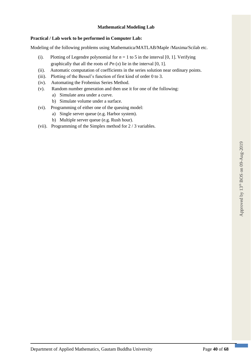### **Mathematical Modeling Lab**

### **Practical / Lab work to be performed in Computer Lab:**

Modeling of the following problems using Mathematica/MATLAB/Maple /Maxima/Scilab etc.

- (i). Plotting of Legendre polynomial for  $n = 1$  to 5 in the interval [0, 1]. Verifying graphically that all the roots of  $Pn(x)$  lie in the interval [0, 1].
- (ii). Automatic computation of coefficients in the series solution near ordinary points.
- (iii). Plotting of the Bessel's function of first kind of order 0 to 3.
- (iv). Automating the Frobenius Series Method.
- (v). Random number generation and then use it for one of the following:
	- a) Simulate area under a curve.
	- b) Simulate volume under a surface.
- (vi). Programming of either one of the queuing model:
	- a) Single server queue (e.g. Harbor system).
	- b) Multiple server queue (e.g. Rush hour).
- (vii). Programming of the Simplex method for 2 / 3 variables.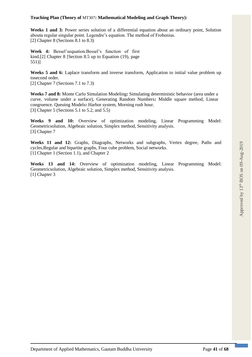### **Teaching Plan (Theory of** MT307**: Mathematical Modeling and Graph Theory):**

Weeks 1 and 3: Power series solution of a differential equation about an ordinary point, Solution abouta regular singular point. Legendre's equation. The method of Frobenius. [2] Chapter 8 (Sections 8.1 to 8.3)

**Week 4:** Bessel'sequation.Bessel's function of first kind.[2] Chapter 8 [Section 8.5 up to Equation (19), page 551)]

**Weeks 5 and 6:** Laplace transform and inverse transform, Application to initial value problem up tosecond order.

[2] Chapter 7 (Sections 7.1 to 7.3)

**Weeks 7 and 8:** Monte Carlo Simulation Modeling**:** Simulating deterministic behavior (area under a curve, volume under a surface), Generating Random Numbers**:** Middle square method, Linear congruence. Queuing Models**:** Harbor system, Morning rush hour. [3] Chapter 5 (Sections 5.1 to 5.2, and 5.5)

**Weeks 9 and 10:** Overview of optimization modeling, Linear Programming Model: Geometricsolution, Algebraic solution, Simplex method, Sensitivity analysis. [3] Chapter 7

**Weeks 11 and 12:** Graphs, Diagraphs, Networks and subgraphs, Vertex degree, Paths and cycles,Regular and bipartite graphs, Four cube problem, Social networks. [1] Chapter 1 (Section 1.1), and Chapter 2

**Weeks 13 and 14:** Overview of optimization modeling, Linear Programming Model: Geometricsolution, Algebraic solution, Simplex method, Sensitivity analysis. [1] Chapter 3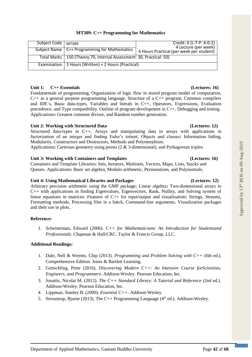| Subject Code   MT309 |                                                                        | Credit: 6 (L-T-P: 4-0-2)<br>4 Lecture (per week) |
|----------------------|------------------------------------------------------------------------|--------------------------------------------------|
|                      | Subject Name   C++ Programming for Mathematics                         | 4 Hours Practical (per week per student)         |
|                      | Total Marks   150 (Theory: 70, Internal Assessment: 30, Practical: 50) |                                                  |
|                      | Examination   3 Hours (Written) + 2 Hours (Practical)                  |                                                  |

### **Unit 1: C++ Essentials (Lectures: 16)**

Fundamentals of programming, Organization of logic flow in stored program model of computation, C++ as a general purpose programming language, Structure of a C++ program, Common compilers and IDE's, Basic data-types, Variables and literals in C++, Operators, Expressions, Evaluation precedence, and Type compatibility. Outline of program development in C++, Debugging and testing. Applications**:** Greatest common divisor, and Random number generation.

### **Unit 2: Working with Structured Data (Lectures: 12)**

Structured data-types in C++, Arrays and manipulating data in arrays with applications in factorization of an integer and finding Euler's totient; Objects and classes**:** Information hiding, Modularity, Constructors and Destructors, Methods and Polymorphism.

Applications**:** Cartesian geometry using points (2 & 3-dimensional), and Pythagorean triples.

### **Unit 3: Working with Containers and Templates (Lectures: 16)**

Containers and Template Libraries**:** Sets, Iterators, Multisets, Vectors, Maps, Lists, Stacks and Queues. Applications**:** Basic set algebra, Modulo arithmetic, Permutations, and Polynomials.

### **Unit 4: Using Mathematical Libraries and Packages (Lectures: 12)**

Arbitrary precision arithmetic using the GMP package; Linear algebra**:** Two-dimensional arrays in C++ with applications in finding Eigenvalues, Eigenvectors, Rank, Nullity, and Solving system of linear equations in matrices. Features of C++ for input/output and visualization**:** Strings, Streams, Formatting methods, Processing files in a batch, Command-line arguments, Visualization packages and their use in plots.

### **Reference:**

1. Scheinerman, Edward (2006). *C++ for Mathematicians*: *An Introduction for Studentsand Professionals*. Chapman & Hall/CRC. Taylor & Francis Group, LLC.

### **Additional Readings:**

- 1. Dale, Nell & Weems, Chip (2013). *Programming and Problem Solving with C++* (6th ed.). Comprehensive Edition. Jones & Bartlett Learning.
- 2. Gottschling, Peter (2016). *Discovering Modern C++*: *An Intensive Course forScientists, Engineers, and Programmers*. Addison-Wesley. Pearson Education, Inc.
- 3. Josuttis, Nicolai M. (2012). *The C++ Standard Library*: *A Tutorial and Reference* (2nd ed.). Addison-Wesley. Pearson Education, Inc.
- 4. Lippman, Stanley B. (2000). *Essential C++*. Addison-Wesley.
- 5. Stroustrup, Bjarne (2013). The C++ Programming Language ( $4<sup>th</sup>$  ed.). Addison-Wesley.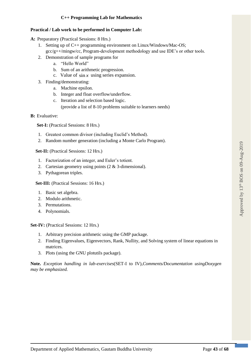### **Practical / Lab work to be performed in Computer Lab:**

**A:** Preparatory (Practical Sessions: 8 Hrs.)

- 1. Setting up of C++ programming environment on Linux/Windows/Mac-OS;  $\text{gcc/g++/mingw/cc}$ , Program-development methodology and use IDE's or other tools.
- 2. Demonstration of sample programs for
	- a. "Hello World"
	- b. Sum of an arithmetic progression.
	- c. Value of  $\sin x$  using series expansion.
- 3. Finding/demonstrating:
	- a. Machine epsilon.
	- b. Integer and float overflow/underflow.
	- c. Iteration and selection based logic.
		- (provide a list of 8-10 problems suitable to learners needs)
- **B:** Evaluative:

**Set-I:** (Practical Sessions: 8 Hrs.)

- 1. Greatest common divisor (including Euclid's Method).
- 2. Random number generation (including a Monte Carlo Program).

**Set-II:** (Practical Sessions: 12 Hrs.)

- 1. Factorization of an integer, and Euler's totient.
- 2. Cartesian geometry using points (2 & 3-dimensional).
- 3. Pythagorean triples.

Set-III: (Practical Sessions: 16 Hrs.)

- 1. Basic set algebra.
- 2. Modulo arithmetic.
- 3. Permutations.
- 4. Polynomials.

**Set-IV:** (Practical Sessions: 12 Hrs.)

- 1. Arbitrary precision arithmetic using the GMP package.
- 2. Finding Eigenvalues, Eigenvectors, Rank, Nullity, and Solving system of linear equations in matrices.
- 3. Plots (using the GNU plotutils package).

**Note.** *Exception handling in lab-exercises*(SET-I to IV),*Comments/Documentation usingDoxygen may be emphasized.*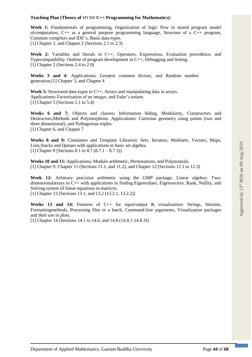### **Teaching Plan (Theory of** MT309 **C++ Programming for Mathematics):**

**Week 1:** Fundamentals of programming, Organization of logic flow in stored program model ofcomputation, C++ as a general purpose programming language, Structure of a C++ program, Common compilers and IDE's, Basic data-types. [1] Chapter 1, and Chapter 2 (Sections 2.1 to 2.3)

**Week 2:** Variables and literals in C++, Operators, Expressions, Evaluation precedence, and Typecompatibility. Outline of program development in C++, Debugging and testing. [1] Chapter 2 (Sections 2.4 to 2.9)

**Weeks 3 and 4:** Applications**:** Greatest common divisor, and Random number generation.[1] Chapter 3, and Chapter 4

**Week 5:** Structured data-types in C++, Arrays and manipulating data in arrays. Applications**:** Factorization of an integer, and Euler's totient. [1] Chapter 5 (Sections 5.1 to 5.4)

**Weeks 6 and 7:** Objects and classes**:** Information hiding, Modularity, Constructors and Destructors,Methods and Polymorphism. Applications**:** Cartesian geometry using points (two and three dimensional), and Pythagorean triples. [1] Chapter 6, and Chapter 7

**Weeks 8 and 9:** Containers and Template Libraries**:** Sets, Iterators, Multisets, Vectors, Maps, Lists,Stacks and Queues with applications in basic set algebra. [1] Chapter 8 [Sections 8.1 to 8.7  $(8.7.1 - 8.7.3)$ ]

**Weeks 10 and 11:** Applications**:** Modulo arithmetic, Permutations, and Polynomials. [1] Chapter 9, Chapter 11 (Sections 11.1, and 11.2), and Chapter 12 (Sections 12.1 to 12.3)

**Week 12:** Arbitrary precision arithmetic using the GMP package; Linear algebra**:** Twodimensionalarrays in C++ with applications in finding Eigenvalues, Eigenvectors, Rank, Nullity, and Solving system of linear equations in matrices.

[1] Chapter 13 [Sections 13.1, and 13.2 (13.2.1, 13.2.2)]

**Weeks 13 and 14:** Features of C++ for input/output & visualization**:** Strings, Streams, Formattingmethods, Processing files in a batch, Command-line arguments, Visualization packages and their use in plots.

[1] Chapter 14 [Sections 14.1 to 14.6, and 14.8 (14.8.1-14.8.3)]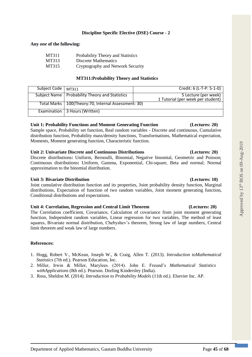### **Discipline Specific Elective (DSE) Course - 2**

### **Any** *one* **of the following:**

| MT311 | Probability Theory and Statistics |
|-------|-----------------------------------|
| MT313 | Discrete Mathematics              |
| MT315 | Cryptography and Network Security |

### **MT311:Probability Theory and Statistics**

| Subject Code   MT311 |                                                        | Credit: 6 (L-T-P: 5-1-0)                                  |
|----------------------|--------------------------------------------------------|-----------------------------------------------------------|
|                      | Subject Name   Probability Theory and Statistics       | 5 Lecture (per week)<br>1 Tutorial (per week per student) |
|                      | Total Marks   100(Theory: 70, Internal Assessment: 30) |                                                           |
|                      | Examination   3 Hours (Written)                        |                                                           |

### **Unit 1: Probability Functions and Moment Generating Function (Lectures: 20)**

Sample space, Probability set function, Real random variables - Discrete and continuous, Cumulative distribution function, Probability mass/density functions, Transformations, Mathematical expectation, Moments, Moment generating function, Characteristic function.

### **Unit 2: Univariate Discrete and Continuous Distributions (Lectures: 20)**

Discrete distributions**:** Uniform, Bernoulli, Binomial, Negative binomial, Geometric and Poisson; Continuous distributions**:** Uniform, Gamma, Exponential, Chi-square, Beta and normal; Normal approximation to the binomial distribution.

### **Unit 3: Bivariate Distribution (Lectures: 10)**

Joint cumulative distribution function and its properties, Joint probability density function, Marginal distributions, Expectation of function of two random variables, Joint moment generating function, Conditional distributions and expectations.

### **Unit 4: Correlation, Regression and Central Limit Theorem (Lectures: 20)**

The Correlation coefficient, Covariance, Calculation of covariance from joint moment generating function, Independent random variables, Linear regression for two variables, The method of least squares, Bivariate normal distribution, Chebyshev's theorem, Strong law of large numbers, Central limit theorem and weak law of large numbers.

### **References:**

- 1. Hogg, Robert V., McKean, Joseph W., & Craig, Allen T. (2013). *Introduction toMathematical Statistics* (7th ed.). Pearson Education, Inc.
- 2. Miller, Irwin & Miller, Marylees. (2014). John E. Freund's *Mathematical Statistics withApplications* (8th ed.). Pearson. Dorling Kindersley (India).
- 3. Ross, Sheldon M. (2014). *Introduction to Probability Models* (11th ed.). Elsevier Inc. AP.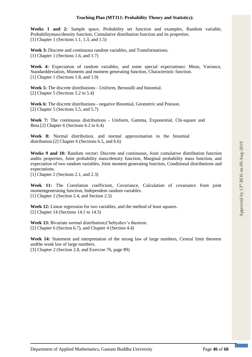**Weeks 1 and 2:** Sample space, Probability set function and examples, Random variable, Probabilitymass/density function, Cumulative distribution function and its properties. [1] Chapter 1 (Sections 1.1, 1.3, and 1.5)

**Week 3:** Discrete and continuous random variables, and Transformations. [1] Chapter 1 (Sections 1.6, and 1.7)

**Week 4:** Expectation of random variables, and some special expectations**:** Mean, Variance, Standarddeviation, Moments and moment generating function, Characteristic function. [1] Chapter 1 (Sections 1.8, and 1.9)

**Week 5:** The discrete distributions - Uniform, Bernoulli and binomial. [2] Chapter 5 (Sections 5.2 to 5.4)

**Week 6:** The discrete distributions - negative Binomial, Geometric and Poisson. [2] Chapter 5 (Sections 5.5, and 5.7)

**Week 7:** The continuous distributions - Uniform, Gamma, Exponential, Chi-square and Beta.[2] Chapter 6 (Sections 6.2 to 6.4)

**Week 8:** Normal distribution, and normal approximation to the binomial distribution.[2] Chapter 6 (Sections 6.5, and 6.6)

**Weeks 9 and 10:** Random vector**:** Discrete and continuous, Joint cumulative distribution function andits properties, Joint probability mass/density function, Marginal probability mass function, and expectation of two random variables, Joint moment generating function, Conditional distributions and expectations.

[1] Chapter 2 (Sections 2.1, and 2.3)

**Week 11:** The Correlation coefficient, Covariance, Calculation of covariance from joint momentgenerating function, Independent random variables. [1] Chapter 2 (Section 2.4, and Section 2.5)

**Week 12:** Linear regression for two variables, and the method of least squares. [2] Chapter 14 (Sections 14.1 to 14.3)

**Week 13:** Bivariate normal distribution;Chebyshev's theorem. [2] Chapter 6 (Section 6.7), and Chapter 4 (Section 4.4)

**Week 14:** Statement and interpretation of the strong law of large numbers, Central limit theorem andthe weak law of large numbers.

[3] Chapter 2 (Section 2.8, and Exercise 76, page 89)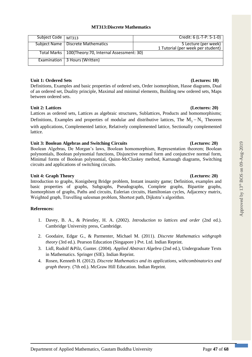### **MT313:Discrete Mathematics**

| Subject Code   MT313 |                                                        | Credit: 6 (L-T-P: 5-1-0)          |
|----------------------|--------------------------------------------------------|-----------------------------------|
|                      | Subject Name   Discrete Mathematics                    | 5 Lecture (per week)              |
|                      |                                                        | 1 Tutorial (per week per student) |
|                      | Total Marks   100(Theory: 70, Internal Assessment: 30) |                                   |
|                      |                                                        |                                   |
|                      | Examination   3 Hours (Written)                        |                                   |
|                      |                                                        |                                   |

### **Unit 1: Ordered Sets (Lectures: 10)**

Definitions, Examples and basic properties of ordered sets, Order isomorphism, Hasse diagrams, Dual of an ordered set, Duality principle, Maximal and minimal elements, Building new ordered sets, Maps between ordered sets.

### **Unit 2: Lattices (Lectures: 20)**

Lattices as ordered sets, Lattices as algebraic structures, Sublattices, Products and homomorphisms; Definitions, Examples and properties of modular and distributive lattices, The  $M_3 - N_5$  Theorem with applications, Complemented lattice, Relatively complemented lattice, Sectionally complemented lattice.

### **Unit 3: Boolean Algebras and Switching Circuits (Lectures: 20)**

Boolean Algebras, De Morgan's laws, Boolean homomorphism, Representation theorem; Boolean polynomials, Boolean polynomial functions, Disjunctive normal form and conjunctive normal form, Minimal forms of Boolean polynomial, Quinn-McCluskey method, Karnaugh diagrams, Switching circuits and applications of switching circuits.

### **Unit 4: Graph Theory (Lectures: 20)**

Introduction to graphs, Konigsberg Bridge problem, Instant insanity game; Definition, examples and basic properties of graphs, Subgraphs, Pseudographs, Complete graphs, Bipartite graphs, Isomorphism of graphs, Paths and circuits, Eulerian circuits, Hamiltonian cycles, Adjacency matrix, Weighted graph, Travelling salesman problem, Shortest path, Dijkstra's algorithm.

### **References:**

- 1. Davey, B. A., & Priestley, H. A. (2002). *Introduction to lattices and order* (2nd ed.). Cambridge University press, Cambridge.
- 2. Goodaire, Edgar G., & Parmenter, Michael M. (2011). *Discrete Mathematics withgraph theory* (3rd ed.). Pearson Education (Singapore ) Pvt. Ltd. Indian Reprint.
- 3. Lidl, Rudolf &Pilz, Gunter. (2004). *Applied Abstract Algebra* (2nd ed.), Undergraduate Texts in Mathematics. Springer (SIE). Indian Reprint.
- 4. Rosen, Kenneth H. (2012). *Discrete Mathematics and its applications, withcombinatorics and graph theor*y. (7th ed.). McGraw Hill Education. Indian Reprint.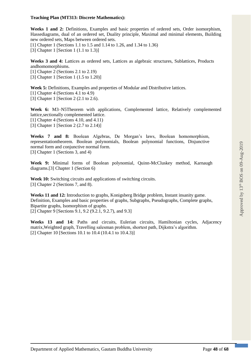### **Teaching Plan (MT313: Discrete Mathematics):**

**Weeks 1 and 2:** Definitions, Examples and basic properties of ordered sets, Order isomorphism, Hassediagrams, dual of an ordered set, Duality principle, Maximal and minimal elements, Building new ordered sets, Maps between ordered sets.

[1] Chapter 1 (Sections 1.1 to 1.5 and 1.14 to 1.26, and 1.34 to 1.36)

[3] Chapter 1 [Section 1 (1.1 to 1.3)]

**Weeks 3 and 4:** Lattices as ordered sets, Lattices as algebraic structures, Sublattices, Products andhomomorphisms.

[1] Chapter 2 (Sections 2.1 to 2.19)

[3] Chapter 1 [Section 1 (1.5 to 1.20)]

**Week 5:** Definitions, Examples and properties of Modular and Distributive lattices.

[1] Chapter 4 (Sections 4.1 to 4.9)

[3] Chapter 1 [Section 2 (2.1 to 2.6).

**Week 6:** M3–N5Theorem with applications, Complemented lattice, Relatively complemented lattice,sectionally complemented lattice.

[1] Chapter 4 (Sections 4.10, and 4.11)

[3] Chapter 1 [Section 2 (2.7 to 2.14)]

**Weeks 7 and 8:** Boolean Algebras, De Morgan's laws, Boolean homomorphism, representationtheorem. Boolean polynomials, Boolean polynomial functions, Disjunctive normal form and conjunctive normal form. [3] Chapter 1 (Sections 3, and 4)

**Week 9:** Minimal forms of Boolean polynomial, Quinn-McCluskey method, Karnaugh diagrams.[3] Chapter 1 (Section 6)

**Week 10:** Switching circuits and applications of switching circuits. [3] Chapter 2 (Sections 7, and 8).

**Weeks 11 and 12:** Introduction to graphs, Konigsberg Bridge problem, Instant insanity game. Definition, Examples and basic properties of graphs, Subgraphs, Pseudographs, Complete graphs, Bipartite graphs, Isomorphism of graphs. [2] Chapter 9 [Sections 9.1, 9.2 (9.2.1, 9.2.7), and 9.3]

**Weeks 13 and 14:** Paths and circuits, Eulerian circuits, Hamiltonian cycles, Adjacency matrix,Weighted graph, Travelling salesman problem, shortest path, Dijkstra's algorithm. [2] Chapter 10 [Sections 10.1 to 10.4 (10.4.1 to 10.4.3)]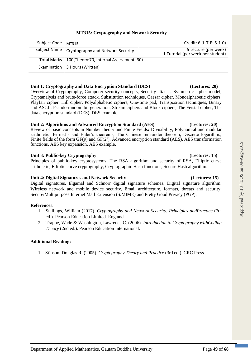| Subject Code | MT315                                                  | Credit: 6 (L-T-P: 5-1-0)                                  |
|--------------|--------------------------------------------------------|-----------------------------------------------------------|
|              | Subject Name   Cryptography and Network Security       | 5 Lecture (per week)<br>1 Tutorial (per week per student) |
|              | Total Marks   100(Theory: 70, Internal Assessment: 30) |                                                           |
|              | Examination   3 Hours (Written)                        |                                                           |

### **Unit 1: Cryptography and Data Encryption Standard (DES) (Lectures: 20)**

Overview of Cryptography, Computer security concepts, Security attacks, Symmetric cipher model, Cryptanalysis and brute-force attack, Substitution techniques, Caesar cipher, Monoalphabetic ciphers, Playfair cipher, Hill cipher, Polyalphabetic ciphers, One-time pad, Transposition techniques, Binary and ASCII, Pseudo-random bit generation, Stream ciphers and Block ciphers, The Feistal cipher, The data encryption standard (DES), DES example.

### **Unit 2: Algorithms and Advanced Encryption Standard (AES) (Lectures: 20)**

Review of basic concepts in Number theory and Finite Fields**:** Divisibility, Polynomial and modular arithmetic, Fermat's and Euler's theorems, The Chinese remainder theorem, Discrete logarithm., Finite fields of the form  $GF(p)$  and  $GF(2^n)$ . Advanced encryption standard (AES), AES transformation functions, AES key expansion, AES example.

### Unit 3: Public-key Cryptography **(Lectures: 15) (Lectures: 15)**

Principles of public-key cryptosystems, The RSA algorithm and security of RSA, Elliptic curve arithmetic, Elliptic curve cryptography, Cryptographic Hash functions, Secure Hash algorithm.

### **Unit 4: Digital Signatures and Network Security (Lectures: 15)**

Digital signatures, Elgamal and Schnorr digital signature schemes, Digital signature algorithm. Wireless network and mobile device security, Email architecture, formats, threats and security, Secure/Multipurpose Internet Mail Extension (S/MIME) and Pretty Good Privacy (PGP).

### **Reference**s:

- 1. Stallings, William (2017). *Cryptography and Network Security*, *Principles andPractice* (7th ed.). Pearson Education Limited. England.
- 2. Trappe, Wade & Washington, Lawrence C. (2006). *Introduction to Cryptography withCoding Theory* (2nd ed.). Pearson Education International.

# **Additional Reading:**

1. Stinson, Douglas R. (2005). *Cryptography Theory and Practice* (3rd ed.). CRC Press.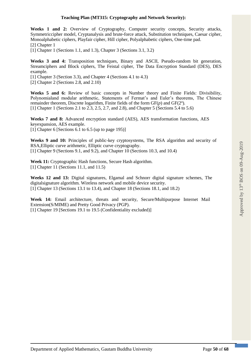Weeks 1 and 2: Overview of Cryptography, Computer security concepts, Security attacks, Symmetriccipher model, Cryptanalysis and brute-force attack, Substitution techniques, Caesar cipher, Monoalphabetic ciphers, Playfair cipher, Hill cipher, Polyalphabetic ciphers, One-time pad. [2] Chapter 1

[1] Chapter 1 (Sections 1.1, and 1.3), Chapter 3 (Sections 3.1, 3.2)

**Weeks 3 and 4:** Transposition techniques, Binary and ASCII, Pseudo-random bit generation, Streamciphers and Block ciphers, The Feistal cipher, The Data Encryption Standard (DES), DES example.

[1] Chapter 3 (Section 3.3), and Chapter 4 (Sections 4.1 to 4.3)

[2] Chapter 2 (Sections 2.8, and 2.10)

**Weeks 5 and 6:** Review of basic concepts in Number theory and Finite Fields: Divisibility, Polynomialand modular arithmetic, Statements of Fermat's and Euler's theorems, The Chinese remainder theorem, Discrete logarithm, Finite fields of the form  $GF(p)$  and  $GF(2^n)$ . [1] Chapter 1 (Sections 2.1 to 2.3, 2.5, 2.7, and 2.8), and Chapter 5 (Sections 5.4 to 5.6)

**Weeks 7 and 8:** Advanced encryption standard (AES), AES transformation functions, AES keyexpansion, AES example. [1] Chapter 6 [Sections 6.1 to 6.5 (up to page 195)]

**Weeks 9 and 10:** Principles of public-key cryptosystems, The RSA algorithm and security of RSA,Elliptic curve arithmetic, Elliptic curve cryptography. [1] Chapter 9 (Sections 9.1, and 9.2), and Chapter 10 (Sections 10.3, and 10.4)

**Week 11:** Cryptographic Hash functions, Secure Hash algorithm. [1] Chapter 11 (Sections 11.1, and 11.5)

**Weeks 12 and 13:** Digital signatures, Elgamal and Schnorr digital signature schemes, The digitalsignature algorithm. Wireless network and mobile device security. [1] Chapter 13 (Sections 13.1 to 13.4), and Chapter 18 (Sections 18.1, and 18.2)

**Week 14:** Email architecture, threats and security, Secure/Multipurpose Internet Mail Extension(S/MIME) and Pretty Good Privacy (PGP). [1] Chapter 19 [Sections 19.1 to 19.5 (Confidentiality excluded)]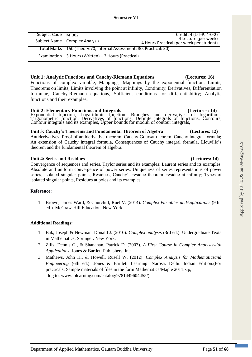| <b>Unit 4: Series and Residues</b>                                                                   | (Lectures: 14) |
|------------------------------------------------------------------------------------------------------|----------------|
| Convergence of sequences and series, Taylor series and its examples; Laurent series and its examples |                |
| Absolute and uniform convergence of novem series. Uniqueness of series representations of nove       |                |

# **Reference:**

1. Brown, James Ward, & Churchill, Ruel V. (2014). *Complex Variables andApplications* (9th ed.). McGraw-Hill Education. New York.

### **Additional Readings:**

- 1. Bak, Joseph & Newman, Donald J. (2010). *Complex analysis* (3rd ed.). Undergraduate Texts in Mathematics, Springer. New York.
- 2. Zills, Dennis G., & Shanahan, Patrick D. (2003). *A First Course in Complex Analysiswith Applications*. Jones & Bartlett Publishers, Inc.
- 3. Mathews, John H., & Howell, Rusell W. (2012). *Complex Analysis for Mathematicsand Engineering* (6th ed.). Jones & Bartlett Learning. Narosa, Delhi. Indian Edition.(For practicals: Sample materials of files in the form Mathematica/Maple 2011.zip, log to: [www.jblearning.com/catalog/9781449604455/\).](http://www.jblearning.com/catalog/9781449604455/)

### formulae, Cauchy-Riemann equations, Sufficient conditions for differentiability; Analytic functions and their examples.

**Unit 2: Elementary Functions and Integrals (Lectures: 14)** (Lectures: 14) Exponential function, Logarithmic function, Branches and derivatives of logarithms, Trigonometric function, Derivatives of functions, Definite integrals of functions, Contours, Contour integrals and its examples, Upper bounds for moduli of contour integrals,

### **Unit 3: Cauchy's Theorems and Fundamental Theorem of Algebra (Lectures: 12)**

Antiderivatives, Proof of antiderivative theorem, Cauchy-Goursat theorem, Cauchy integral formula; An extension of Cauchy integral formula, Consequences of Cauchy integral formula, Liouville's theorem and the fundamental theorem of algebra.

Convergence of sequences and series, Taylor series and its examples; Laurent series and its examples, Absolute and uniform convergence of power series, Uniqueness of series representations of power series, Isolated singular points, Residues, Cauchy's residue theorem, residue at infinity; Types of isolated singular points, Residues at poles and its examples.

| Subject Code   MT302 |                                                                        | Credit: 4 (L-T-P: 4-0-2)<br>4 Lecture (per week) |
|----------------------|------------------------------------------------------------------------|--------------------------------------------------|
|                      | Subject Name   Complex Analysis                                        | 4 Hours Practical (per week per student)         |
|                      | Total Marks   150 (Theory: 70, Internal Assessment: 30, Practical: 50) |                                                  |
|                      | Examination   3 Hours (Written) + 2 Hours (Practical)                  |                                                  |

**Unit 1: Analytic Functions and Cauchy-Riemann Equations (Lectures: 16)**  Functions of complex variable, Mappings; Mappings by the exponential function, Limits, Theorems on limits, Limits involving the point at infinity, Continuity, Derivatives, Differentiation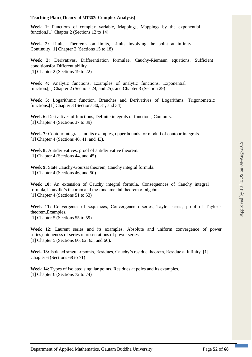### **Teaching Plan (Theory of** MT302**: Complex Analysis):**

**Week 1:** Functions of complex variable, Mappings, Mappings by the exponential function.[1] Chapter 2 (Sections 12 to 14)

**Week 2:** Limits, Theorems on limits, Limits involving the point at infinity, Continuity.[1] Chapter 2 (Sections 15 to 18)

**Week 3:** Derivatives, Differentiation formulae, Cauchy-Riemann equations, Sufficient conditionsfor Differentiability. [1] Chapter 2 (Sections 19 to 22)

**Week 4:** Analytic functions, Examples of analytic functions, Exponential function.[1] Chapter 2 (Sections 24, and 25), and Chapter 3 (Section 29)

**Week 5:** Logarithmic function, Branches and Derivatives of Logarithms, Trigonometric functions.[1] Chapter 3 (Sections 30, 31, and 34)

Week 6: Derivatives of functions, Definite integrals of functions, Contours. [1] Chapter 4 (Sections 37 to 39)

**Week 7:** Contour integrals and its examples, upper bounds for moduli of contour integrals. [1] Chapter 4 (Sections 40, 41, and 43).

**Week 8:** Antiderivatives, proof of antiderivative theorem. [1] Chapter 4 (Sections 44, and 45)

**Week 9:** State Cauchy-Goursat theorem, Cauchy integral formula. [1] Chapter 4 (Sections 46, and 50)

**Week 10:** An extension of Cauchy integral formula, Consequences of Cauchy integral formula,Liouville's theorem and the fundamental theorem of algebra. [1] Chapter 4 (Sections 51 to 53)

Week 11: Convergence of sequences, Convergence of series, Taylor series, proof of Taylor's theorem,Examples.

[1] Chapter 5 (Sections 55 to 59)

**Week 12:** Laurent series and its examples, Absolute and uniform convergence of power series,uniqueness of series representations of power series. [1] Chapter 5 (Sections 60, 62, 63, and 66).

**Week 13:** Isolated singular points, Residues, Cauchy's residue theorem, Residue at infinity. [1]: Chapter 6 (Sections 68 to 71)

**Week 14:** Types of isolated singular points, Residues at poles and its examples. [1] Chapter 6 (Sections 72 to 74)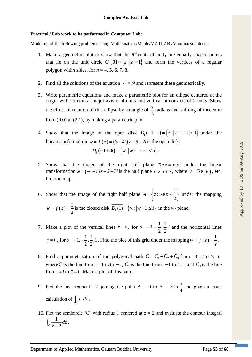### **Practical / Lab work to be performed in Computer Lab:**

Modeling of the following problems using Mathematica /Maple/MATLAB /Maxima/Scilab etc.

- 1. Make a geometric plot to show that the  $n^{\text{th}}$  roots of unity are equally spaced points that lie on the unit circle  $C_1(0) = \{z : |z| = 1\}$  and form the vertices of a regular polygon with*n* sides, for *n* = 4, 5, 6, 7, 8.
- 2. Find all the solutions of the equation  $z^3 = 8i$  and represent these geometrically.
- 3. Write parametric equations and make a parametric plot for an ellipse centered at the origin with horizontal major axis of 4 units and vertical minor axis of 2 units. Show the effect of rotation of this ellipse by an angle of  $\frac{\pi}{6}$  $\frac{\pi}{2}$  radians and shifting of thecentre from  $(0,0)$  to  $(2,1)$ , by making a parametric plot.
- 4. Show that the image of the open disk  $D_1(-1-i) = \{z : |z+1+i| < 1\}$  under the lineartransformation  $w = f(z) = (3-4i)z + 6 + 2i$  is the open disk:  $D_5(-1+3i) = \{w : |w+1-3i| < 5\}.$
- 5. Show that the image of the right half plane  $Re z = x > 1$  under the linear transformation  $w = (-1+i)z - 2 + 3i$  is the half plane  $v > u + 7$ , where  $u = \text{Re}(w)$ , etc. Plot the map.

6. Show that the image of the right half plane  $A = \{z : \text{Re } z \ge \frac{1}{z} \}$  $A = \left\{ z : \text{Re } z \ge \frac{1}{2} \right\}$  under the mapping  $w = f(z) = \frac{1}{z}$  $= f(z) = \frac{1}{z}$  is the closed disk  $D_1(1) = \{w : |w-1| \le 1\}$  in the *w*- plane.

- 7. Make a plot of the vertical lines  $x = a$ , for  $a = -1, -\frac{1}{2}, \frac{1}{2}, 1$  and the horizontal lines  $y = b$ , for  $b = -1, -\frac{1}{2}, \frac{1}{2}, 1$  $b = -1, -\frac{1}{2}, \frac{1}{2}, 1$ . Find the plot of this grid under the mapping  $w = f(z) = \frac{1}{z}$  $= f(z) = -1$ .
- 8. Find a parametrization of the polygonal path  $C = C_1 + C_2 + C_3$  from  $-1+i$  to  $3-i$ , where  $C_1$  is the line from:  $-1 + i$  to  $-1$ ,  $C_2$  is the line from:  $-1$  to  $1+i$  and  $C_3$  is the line from  $1+i$  to  $3-i$ . Make a plot of this path.
- 9. Plot the line segment '*L*' joining the point  $A = 0$  to  $B = 2$ 4  $+i\frac{\pi}{i}$  and give an exact calculation of  $\int e^z$  $\int_L e^z dz$ .
- 10. Plot the semicircle '*C*' with radius 1 centered at  $z = 2$  and evaluate the contour integral 1  $C_z - 2$ *dz*  $\int_C \frac{1}{z-2} dz$ .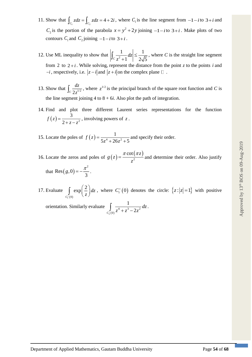- 11. Show that  $\int_{C_1} z dz = \int_{C_2}$  $\int_{C_i} z dz = \int_{C_i} z dz = 4 + 2i$ , where  $C_i$  is the line segment from  $-1-i$  to  $3+i$  and *C*<sub>2</sub> is the portion of the parabola  $x = y^2 + 2y$  joining  $-1 - i$  to  $3+i$ . Make plots of two contours  $C_1$  and  $C_2$  joining  $-1-i$  to  $3+i$ .
- 12. Use ML inequality to show that  $\left\| \frac{1}{\epsilon 2} \right\|$ 1 1  $c_z^2 + 1$  | 2 $\sqrt{5}$ *dz z*  $\leq$  $\left|\int_C \frac{1}{z^2+1} dz\right| \leq \frac{1}{2\sqrt{5}}$ , where *C* is the straight line segment from 2 to  $2+i$ . While solving, represent the distance from the point *z* to the points *i* and  $-i$ , respectively, i.e.  $|z - i|$  and  $|z + i|$  on the complex plane  $\Box$ .
- 13. Show that  $\int_C \frac{dz}{2z^{1/2}}$ *dz*  $\int_{C} \frac{dz}{2z^{1/2}}$ , where  $z^{1/2}$  is the principal branch of the square root function and *C* is the line segment joining  $4$  to  $8 + 6i$ . Also plot the path of integration.
- 14. Find and plot three different Laurent series representations for the function  $(z) = \frac{3}{2}$  $f(z) = \frac{z}{2 + z - z}$  $=\frac{5}{2+z-z^2}$ , involving powers of z.
- 15. Locate the poles of  $f(z) = \frac{1}{z^4 + 25z^2}$  $f(z) = \frac{1}{5z^4 + 26z^2 + 5}$  $=\frac{1}{5z^4+26z^2+5}$  and specify their order.
- 16. Locate the zeros and poles of  $g(z)$  $(\pi z)$ 2 cot *z*  $g(z) = \frac{z}{z}$  $=\frac{\pi \cot(\pi z)}{2}$  and determine their order. Also justify that Res $(g, 0) = -\frac{\pi^2}{2}$ Res $(g, 0) = -\frac{\pi^2}{3}$ .
- 17. Evaluate  $_{1}^{+}(0)$ 2 exp *C dz*  $\int_{t(0)} \exp\left(\frac{2}{z}\right) dz$ , where  $C_1^+(0)$  denotes the circle:  $\{z : |z|=1\}$  with positive

orientation. Similarly evaluate  $^{+}_{3} (0)$ 4. 3 **2** 0 1  $\int_{C_2^+(0)}^{\mathbf{J}} z^4 + z^3 - 2$  $\int_{z^4+2^3-2z^2}^1 dz$ .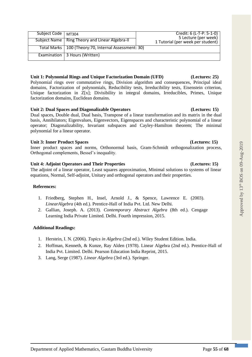| Subject Code   MT304 |                                                         | Credit: 6 (L-T-P: 5-1-0)<br>5 Lecture (per week) |
|----------------------|---------------------------------------------------------|--------------------------------------------------|
|                      | Subject Name   Ring Theory and Linear Algebra-II        | 1 Tutorial (per week per student)                |
|                      | Total Marks   100 (Theory: 70, Internal Assessment: 30) |                                                  |
|                      | Examination   3 Hours (Written)                         |                                                  |

### **Unit 1: Polynomial Rings and Unique Factorization Domain (UFD) (Lectures: 25)**

Polynomial rings over commutative rings, Division algorithm and consequences, Principal ideal domains, Factorization of polynomials, Reducibility tests, Irreducibility tests, Eisenstein criterion, Unique factorization in Z[x]; Divisibility in integral domains, Irreducibles, Primes, Unique factorization domains, Euclidean domains.

### **Unit 2: Dual Spaces and Diagonalizable Operators (Lectures: 15)**

Dual spaces, Double dual, Dual basis, Transpose of a linear transformation and its matrix in the dual basis, Annihilators; Eigenvalues, Eigenvectors, Eigenspaces and characteristic polynomial of a linear operator; Diagonalizability, Invariant subspaces and Cayley-Hamilton theorem; The minimal polynomial for a linear operator.

### **Unit 3: Inner Product Spaces (Lectures: 15)**

Inner product spaces and norms, Orthonormal basis, Gram-Schmidt orthogonalization process, Orthogonal complements, Bessel's inequality.

### **Unit 4: Adjoint Operators and Their Properties (Lectures: 15)**

The adjoint of a linear operator, Least squares approximation, Minimal solutions to systems of linear equations, Normal, Self-adjoint, Unitary and orthogonal operators and their properties.

### **References:**

- 1. Friedberg, Stephen H., Insel, Arnold J., & Spence, Lawrence E. (2003). *LinearAlgebra* (4th ed.). Prentice-Hall of India Pvt. Ltd. New Delhi.
- 2. Gallian, Joseph. A. (2013). *Contemporary Abstract Algebra* (8th ed.). Cengage Learning India Private Limited. Delhi. Fourth impression, 2015.

### **Additional Readings:**

- 1. Herstein, I. N. (2006). *Topics in Algebra* (2nd ed.). Wiley Student Edition. India.
- 2. Hoffman, Kenneth, & Kunze, Ray Alden (1978). Linear Algebra (2nd ed.). Prentice-Hall of India Pvt. Limited. Delhi. Pearson Education India Reprint, 2015.
- 3. Lang, Serge (1987). *Linear Algebra* (3rd ed.). Springer.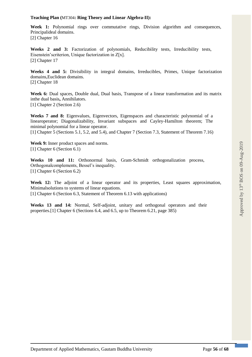### **Teaching Plan (**MT304**: Ring Theory and Linear Algebra-II):**

Week 1: Polynomial rings over commutative rings, Division algorithm and consequences, Principalideal domains. [2] Chapter 16

**Weeks 2 and 3:** Factorization of polynomials, Reducibility tests, Irreducibility tests, Eisenstein'scriterion, Unique factorization in Z[x]. [2] Chapter 17

**Weeks 4 and 5:** Divisibility in integral domains, Irreducibles, Primes, Unique factorization domains,Euclidean domains. [2] Chapter 18

**Week 6:** Dual spaces, Double dual, Dual basis, Transpose of a linear transformation and its matrix inthe dual basis**,** Annihilators. [1] Chapter 2 (Section 2.6)

**Weeks 7 and 8:** Eigenvalues, Eigenvectors, Eigenspaces and characteristic polynomial of a linearoperator; Diagonalizability, Invariant subspaces and Cayley-Hamilton theorem; The minimal polynomial for a linear operator.

[1] Chapter 5 (Sections 5.1, 5.2, and 5.4), and Chapter 7 (Section 7.3, Statement of Theorem 7.16)

**Week 9:** Inner product spaces and norms. [1] Chapter 6 (Section 6.1)

**Weeks 10 and 11:** Orthonormal basis, Gram-Schmidt orthogonalization process, Orthogonalcomplements, Bessel's inequality. [1] Chapter 6 (Section 6.2)

Week 12: The adjoint of a linear operator and its properties, Least squares approximation, Minimalsolutions to systems of linear equations. [1] Chapter 6 (Section 6.3, Statement of Theorem 6.13 with applications)

**Weeks 13 and 14:** Normal, Self-adjoint, unitary and orthogonal operators and their properties.[1] Chapter 6 (Sections 6.4, and 6.5, up to Theorem 6.21, page 385)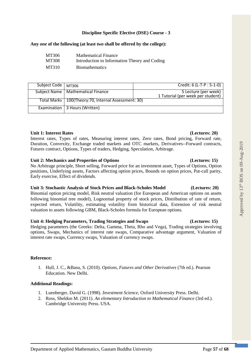### **Discipline Specific Elective (DSE) Course - 3**

### **Any** *one* **of the following (at least** *two* **shall be offered by the college):**

| MT306 | <b>Mathematical Finance</b>                   |
|-------|-----------------------------------------------|
| MT308 | Introduction to Information Theory and Coding |
| MT310 | <b>B</b> iomathematics                        |

| Subject Code | MT306                                                  | Credit: 6 (L-T-P : 5-1-0)         |
|--------------|--------------------------------------------------------|-----------------------------------|
|              |                                                        |                                   |
|              | Subject Name   Mathematical Finance                    | 5 Lecture (per week)              |
|              |                                                        |                                   |
|              |                                                        | 1 Tutorial (per week per student) |
|              |                                                        |                                   |
|              | Total Marks   100(Theory: 70, Internal Assessment: 30) |                                   |
|              |                                                        |                                   |
|              |                                                        |                                   |
|              | Examination   3 Hours (Written)                        |                                   |
|              |                                                        |                                   |
|              |                                                        |                                   |

### **Unit 1: Interest Rates (Lectures: 20)**

Interest rates, Types of rates, Measuring interest rates, Zero rates, Bond pricing, Forward rate, Duration, Convexity, Exchange traded markets and OTC markets, Derivatives--Forward contracts, Futures contract, Options, Types of traders, Hedging, Speculation, Arbitrage.

### **Unit 2: Mechanics and Properties of Options (Lectures: 15)**

No Arbitrage principle, Short selling, Forward price for an investment asset, Types of Options, Option positions, Underlying assets, Factors affecting option prices, Bounds on option prices, Put-call parity, Early exercise, Effect of dividends.

### **Unit 3: Stochastic Analysis of Stock Prices and Black-Scholes Model (Lectures: 20)**

Binomial option pricing model, Risk neutral valuation (for European and American options on assets following binomial tree model), Lognormal property of stock prices, Distribution of rate of return, expected return, Volatility, estimating volatility from historical data, Extension of risk neutral valuation to assets following GBM, Black-Scholes formula for European options.

### **Unit 4: Hedging Parameters, Trading Strategies and Swaps (Lectures: 15)**

Hedging parameters (the Greeks: Delta, Gamma, Theta, Rho and Vega), Trading strategies involving options, Swaps, Mechanics of interest rate swaps, Comparative advantage argument, Valuation of interest rate swaps, Currency swaps, Valuation of currency swaps.

### **Reference:**

1. Hull, J. C., &Basu, S. (2010). *Options, Futures and Other Derivatives* (7th ed.). Pearson Education. New Delhi.

### **Additional Readings:**

- 1. Luenberger, David G. (1998). *Investment Science*, Oxford University Press. Delhi.
- 2. Ross, Sheldon M. (2011). *An elementary Introduction to Mathematical Finance* (3rd ed.). Cambridge University Press. USA.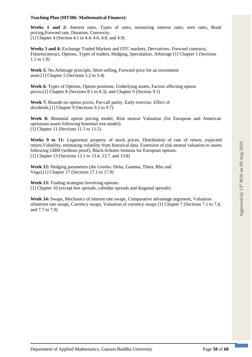### **Teaching Plan (MT306: Mathematical Finance):**

**Weeks 1 and 2:** Interest rates, Types of rates, measuring interest rates, zero rates, Bond pricing,Forward rate, Duration, Convexity. [1] Chapter 4 (Section 4.1 to 4.4, 4.6, 4.8, and 4.9)

**Weeks 3 and 4:** Exchange Traded Markets and OTC markets, Derivatives- Forward contracts, Futurescontract, Options, Types of traders, Hedging, Speculation, Arbitrage [1] Chapter 1 (Sections 1.1 to 1.9)

**Week 5:** No Arbitrage principle, Short selling, Forward price for an investment asset.[1] Chapter 5 (Sections 5.2 to 5.4)

**Week 6:** Types of Options, Option positions, Underlying assets, Factors affecting option prices.[1] Chapter 8 (Sections 8.1 to 8.3), and Chapter 9 (Section 9.1)

**Week 7:** Bounds on option prices, Put-call parity, Early exercise, Effect of dividends.[1] Chapter 9 (Sections 9.2 to 9.7)

**Week 8:** Binomial option pricing model, Risk neutral Valuation (for European and American optionson assets following binomial tree model). [1] Chapter 11 (Sections 11.1 to 11.5)

**Weeks 9 to 11:** Lognormal property of stock prices, Distribution of rate of return, expected return,Volatility, estimating volatility from historical data. Extension of risk neutral valuation to assets following GBM (without proof), Black-Scholes formula for European options. [1] Chapter 13 (Sections 13.1 to 13.4, 13.7, and 13.8)

**Week 12:** Hedging parameters (the Greeks: Delta, Gamma, Theta, Rho and Vega).[1] Chapter 17 (Sections 17.1 to 17.9)

**Week 13:** Trading strategies Involving options. [1] Chapter 10 (except box spreads, calendar spreads and diagonal spreads)

**Week 14:** Swaps, Mechanics of interest rate swaps, Comparative advantage argument, Valuation ofinterest rate swaps, Currency swaps, Valuation of currency swaps [1] Chapter 7 (Sections 7.1 to 7.4, and 7.7 to 7.9)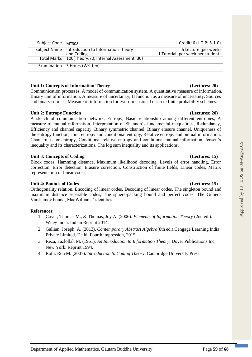| Subject Code   MT308 |                                                                 | Credit: 6 (L-T-P: 5-1-0)                                  |
|----------------------|-----------------------------------------------------------------|-----------------------------------------------------------|
|                      | Subject Name   Introduction to Information Theory<br>and Coding | 5 Lecture (per week)<br>1 Tutorial (per week per student) |
|                      | Total Marks   100(Theory: 70, Internal Assessment: 30)          |                                                           |
|                      | Examination   3 Hours (Written)                                 |                                                           |

### **Unit 1: Concepts of Information Theory (Lectures: 20)**

Communication processes, A model of communication system, A quantitative measure of information, Binary unit of information, A measure of uncertainty, H function as a measure of uncertainty, Sources and binary sources, Measure of information for two-dimensional discrete finite probability schemes.

### Unit 2: Entropy Function *(Lectures: 20) (Lectures: 20)*

A sketch of communication network, Entropy, Basic relationship among different entropies, A measure of mutual information, Interpretation of Shannon's fundamental inequalities; Redundancy, Efficiency and channel capacity, Binary symmetric channel, Binary erasure channel, Uniqueness of the entropy function, Joint entropy and conditional entropy, Relative entropy and mutual information, Chain rules for entropy, Conditional relative entropy and conditional mutual information, Jensen's inequality and its characterizations, The log sum inequality and its applications.

### Unit 3: Concepts of Coding **(Lectures: 15) (Lectures: 15)**

Block codes, Hamming distance, Maximum likelihood decoding, Levels of error handling, Error correction, Error detection, Erasure correction, Construction of finite fields, Linear codes, Matrix representation of linear codes.

### **Unit 4: Bounds of Codes (Lectures: 15)**

Orthogonality relation, Encoding of linear codes, Decoding of linear codes, The singleton bound and maximum distance separable codes, The sphere-packing bound and perfect codes, The Gilbert-Varshamov bound, MacWilliams' identities.

### **References:**

- 1. Cover, Thomas M., & Thomas, Joy A. (2006). *Elements of Information Theory* (2nd ed.). Wiley India. Indian Reprint 2014.
- 2. Gallian, Joseph. A. (2013). *Contemporary Abstract Algebra*(8th ed.).Cengage Learning India Private Limited. Delhi. Fourth impression, 2015.
- 3. Reza, Fazlollah M. (1961). *An Introduction to Information Theory*. Dover Publications Inc, New York. Reprint 1994.
- 4. Roth, Ron M. (2007). *Introduction to Coding Theory*. Cambridge University Press.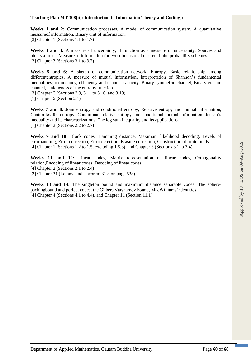### **Teaching Plan MT 308(ii): Introduction to Information Theory and Coding):**

**Weeks 1 and 2:** Communication processes, A model of communication system, A quantitative measureof information, Binary unit of information. [3] Chapter 1 (Sections 1.1 to 1.7)

**Weeks 3 and 4:** A measure of uncertainty, H function as a measure of uncertainty, Sources and binarysources, Measure of information for two-dimensional discrete finite probability schemes. [3] Chapter 3 (Sections 3.1 to 3.7)

**Weeks 5 and 6:** A sketch of communication network, Entropy, Basic relationship among differententropies, A measure of mutual information, Interpretation of Shannon's fundamental inequalities; redundancy, efficiency and channel capacity, Binary symmetric channel, Binary erasure channel, Uniqueness of the entropy function.

[3] Chapter 3 (Sections 3.9, 3.11 to 3.16, and 3.19)

[1] Chapter 2 (Section 2.1)

**Weeks 7 and 8:** Joint entropy and conditional entropy, Relative entropy and mutual information, Chainrules for entropy, Conditional relative entropy and conditional mutual information, Jensen's inequality and its characterizations, The log sum inequality and its applications. [1] Chapter 2 (Sections 2.2 to 2.7)

**Weeks 9 and 10:** Block codes, Hamming distance, Maximum likelihood decoding, Levels of errorhandling, Error correction, Error detection, Erasure correction, Construction of finite fields. [4] Chapter 1 (Sections 1.2 to 1.5, excluding 1.5.3), and Chapter 3 (Sections 3.1 to 3.4)

**Weeks 11 and 12:** Linear codes, Matrix representation of linear codes, Orthogonality relation,Encoding of linear codes, Decoding of linear codes. [4] Chapter 2 (Sections 2.1 to 2.4) [2] Chapter 31 (Lemma and Theorem 31.3 on page 538)

**Weeks 13 and 14:** The singleton bound and maximum distance separable codes, The spherepackingbound and perfect codes, the Gilbert-Varshamov bound, MacWilliams' identities. [4] Chapter 4 (Sections 4.1 to 4.4), and Chapter 11 (Section 11.1)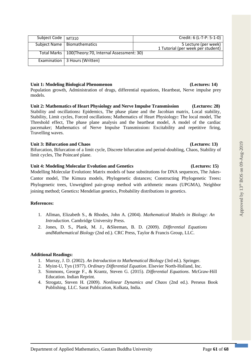| Subject Code   MT310 |                                                        | Credit: 6 (L-T-P: 5-1-0)                                  |
|----------------------|--------------------------------------------------------|-----------------------------------------------------------|
|                      | Subject Name   Biomathematics                          | 5 Lecture (per week)<br>1 Tutorial (per week per student) |
|                      | Total Marks   100(Theory: 70, Internal Assessment: 30) |                                                           |
|                      | Examination   3 Hours (Written)                        |                                                           |

### **Unit 1: Modeling Biological Phenomenon (Lectures: 14)**

Population growth, Administration of drugs, differential equations, Heartbeat, Nerve impulse prey models.

**Unit 2: Mathematics of Heart Physiology and Nerve Impulse Transmission (Lectures: 28)** Stability and oscillations**:** Epidemics, The phase plane and the Jacobian matrix, Local stability, Stability, Limit cycles, Forced oscillations; Mathematics of Heart Physiology**:** The local model, The Threshold effect, The phase plane analysis and the heartbeat model, A model of the cardiac pacemaker; Mathematics of Nerve Impulse Transmission**:** Excitability and repetitive firing, Travelling waves.

### **Unit 3: Bifurcation and Chaos (Lectures: 13)**

Bifurcation, Bifurcation of a limit cycle, Discrete bifurcation and period-doubling, Chaos, Stability of limit cycles, The Poincaré plane.

### **Unit 4: Modeling Molecular Evolution and Genetics (Lectures: 15)**

Modelling Molecular Evolution**:** Matrix models of base substitutions for DNA sequences, The Jukes-Cantor model, The Kimura models, Phylogenetic distances; Constructing Phylogenetic Trees**:** Phylogenetic trees, Unweighted pair-group method with arithmetic means (UPGMA), Neighbor joining method; Genetics**:** Mendelian genetics, Probability distributions in genetics.

### **References:**

- 1. Allman, Elizabeth S., & Rhodes, John A*.* (2004). *Mathematical Models in Biology*: *An Introduction*. Cambridge University Press.
- 2. Jones, D. S., Plank, M. J., &Sleeman, B. D. (2009). *Differential Equations andMathematical Biology* (2nd ed.). CRC Press, Taylor & Francis Group, LLC.

### **Additional Readings:**

- 1. Murray, J. D. (2002). *An Introduction to Mathematical Biology* (3rd ed.). Springer.
- 2. Myint-U, Tyn (1977). *Ordinary Differential Equation*. Elsevier North-Holland, Inc.
- 3. Simmons, George F., & Krantz, Steven G. (2015). *Differential Equations*. McGraw-Hill Education. Indian Reprint.
- 4. Strogatz, Steven H*.* (2009). *Nonlinear Dynamics and Chaos* (2nd ed.). Perseus Book Publishing. LLC. Sarat Publication, Kolkata, India.

### Department of Applied Mathematics, Gautam Buddha University Page **61** of **68**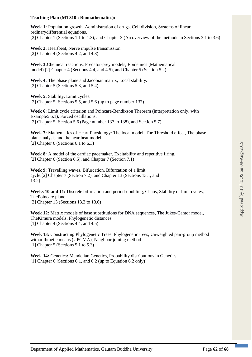### **Teaching Plan (MT310 : Biomathematics):**

**Week 1:** Population growth, Administration of drugs, Cell division, Systems of linear ordinarydifferential equations. [2] Chapter 1 (Sections 1.1 to 1.3), and Chapter 3 (An overview of the methods in Sections 3.1 to 3.6)

**Week 2:** Heartbeat, Nerve impulse transmission [2] Chapter 4 (Sections 4.2, and 4.3)

**Week 3:**Chemical reactions, Predator-prey models, Epidemics (Mathematical model).[2] Chapter 4 (Sections 4.4, and 4.5), and Chapter 5 (Section 5.2)

**Week 4:** The phase plane and Jacobian matrix, Local stability. [2] Chapter 5 (Sections 5.3, and 5.4)

**Week 5:** Stability, Limit cycles. [2] Chapter 5 [Sections 5.5, and 5.6 (up to page number 137)]

**Week 6:** Limit cycle criterion and Poincaré-Bendixson Theorem (interpretation only, with Example5.6.1), Forced oscillations. [2] Chapter 5 [Section 5.6 (Page number 137 to 138), and Section 5.7)

**Week 7:** Mathematics of Heart Physiology: The local model, The Threshold effect, The phase planeanalysis and the heartbeat model. [2] Chapter 6 (Sections 6.1 to 6.3)

Week 8: A model of the cardiac pacemaker, Excitability and repetitive firing. [2] Chapter 6 (Section 6.5), and Chapter 7 (Section 7.1)

**Week 9:** Travelling waves, Bifurcation, Bifurcation of a limit cycle.[2] Chapter 7 (Section 7.2), and Chapter 13 (Sections 13.1, and 13.2)

**Weeks 10 and 11:** Discrete bifurcation and period-doubling, Chaos, Stability of limit cycles, ThePoincaré plane. [2] Chapter 13 (Sections 13.3 to 13.6)

**Week 12:** Matrix models of base substitutions for DNA sequences, The Jukes-Cantor model, TheKimura models, Phylogenetic distances. [1] Chapter 4 (Sections 4.4, and 4.5)

**Week 13:** Constructing Phylogenetic Trees: Phylogenetic trees, Unweighted pair-group method witharithmetic means (UPGMA), Neighbor joining method. [1] Chapter 5 (Sections 5.1 to 5.3)

**Week 14:** Genetics**:** Mendelian Genetics, Probability distributions in Genetics. [1] Chapter 6 [Sections 6.1, and 6.2 (up to Equation 6.2 only)]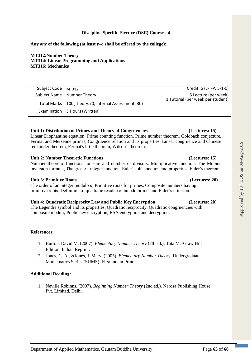# **Any** *one* **of the following (at least** *two* **shall be offered by the college):**

**MT312:Number Theory MT314: Linear Programming and Applications MT316: Mechanics**

| Subject Code   MT312 |                                                        | Credit: 6 (L-T-P: 5-1-0)          |
|----------------------|--------------------------------------------------------|-----------------------------------|
|                      |                                                        |                                   |
|                      | Subject Name   Number Theory                           | 5 Lecture (per week)              |
|                      |                                                        |                                   |
|                      |                                                        | 1 Tutorial (per week per student) |
|                      |                                                        |                                   |
|                      |                                                        |                                   |
|                      | Total Marks   100(Theory: 70, Internal Assessment: 30) |                                   |
|                      |                                                        |                                   |
|                      |                                                        |                                   |
|                      | Examination   3 Hours (Written)                        |                                   |
|                      |                                                        |                                   |
|                      |                                                        |                                   |
|                      |                                                        |                                   |

### **Unit 1: Distribution of Primes and Theory of Congruencies (Lectures: 15)**

Linear Diophantine equation, Prime counting function, Prime number theorem, Goldbach conjecture, Fermat and Mersenne primes, Congruence relation and its properties, Linear congruence and Chinese remainder theorem, Fermat's little theorem, Wilson's theorem.

### **Unit 2: Number Theoretic Functions (Lectures: 15)**

Number theoretic functions for sum and number of divisors, Multiplicative function, The Mobius inversion formula, The greatest integer function. Euler's phi-function and properties, Euler's theorem.

### **Unit 3: Primitive Roots (Lectures: 20)**

The order of an integer modulo *n*, Primitive roots for primes, Composite numbers having primitive roots; Definition of quadratic residue of an odd prime, and Euler's criterion.

### **Unit 4: Quadratic Reciprocity Law and Public Key Encryption (Lectures: 20)**

The Legendre symbol and its properties, Quadratic reciprocity, Quadratic congruencies with composite moduli; Public key encryption, RSA encryption and decryption.

### **References:**

- 1. Burton, David M. (2007). *Elementary Number Theory* (7th ed.). Tata Mc-Graw Hill Edition, Indian Reprint.
- 2. Jones, G. A., &Jones, J. Mary. (2005). *Elementary Number Theo*ry. Undergraduate Mathematics Series (SUMS). First Indian Print.

### **Additional Reading:**

1. Neville Robinns. (2007). *Beginning Number Theory* (2nd ed.). Narosa Publishing House Pvt. Limited, Delhi.

Approved by  $13<sup>th</sup>$  BOS on 09-Aug-2019

Approved by 13<sup>th</sup> BOS on 09-Aug-2019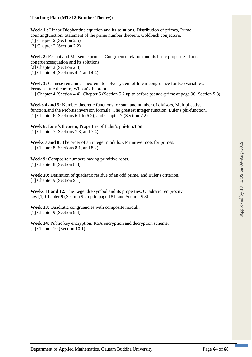### **Teaching Plan (MT312:Number Theory):**

**Week 1 :** Linear Diophantine equation and its solutions, Distribution of primes, Prime countingfunction, Statement of the prime number theorem, Goldbach conjecture. [1] Chapter 2 (Section 2.5) [2] Chapter 2 (Section 2.2)

**Week 2:** Fermat and Mersenne primes, Congruence relation and its basic properties, Linear congruenceequation and its solutions.

[2] Chapter 2 (Section 2.3)

[1] Chapter 4 (Sections 4.2, and 4.4)

Week 3: Chinese remainder theorem, to solve system of linear congruence for two variables, Fermat'slittle theorem, Wilson's theorem. [1] Chapter 4 (Section 4.4), Chapter 5 (Section 5.2 up to before pseudo-prime at page 90, Section 5.3)

**Weeks 4 and 5:** Number theoretic functions for sum and number of divisors, Multiplicative function,and the Mobius inversion formula. The greatest integer function, Euler's phi-function. [1] Chapter 6 (Sections 6.1 to 6.2), and Chapter 7 (Section 7.2)

**Week 6:** Euler's theorem, Properties of Euler's phi-function. [1] Chapter 7 (Sections 7.3, and 7.4)

**Weeks 7 and 8:** The order of an integer modulo*n*. Primitive roots for primes. [1] Chapter 8 (Sections 8.1, and 8.2)

Week 9: Composite numbers having primitive roots. [1] Chapter 8 (Section 8.3)

Week 10: Definition of quadratic residue of an odd prime, and Euler's criterion. [1] Chapter 9 (Section 9.1)

**Weeks 11 and 12:** The Legendre symbol and its properties. Quadratic reciprocity law.[1] Chapter 9 (Section 9.2 up to page 181, and Section 9.3)

Week 13: Quadratic congruencies with composite moduli. [1] Chapter 9 (Section 9.4)

Week 14: Public key encryption, RSA encryption and decryption scheme. [1] Chapter 10 (Section 10.1)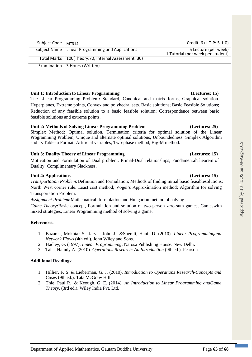# 1 Tutorial (per week per student) Total Marks 100(Theory:70, Internal Assessment: 30) Examination 3 Hours (Written)

Subject Code | MT314 Credit: 6 (L-T-P: 5-1-0) Subject Name Linear Programming and Applications 5 Lecture (per week)

# **Unit 1: Introduction to Linear Programming (Lectures: 15)**

The Linear Programming Problem**:** Standard, Canonical and matrix forms, Graphical solution. Hyperplanes, Extreme points, Convex and polyhedral sets. Basic solutions; Basic Feasible Solutions; Reduction of any feasible solution to a basic feasible solution; Correspondence between basic feasible solutions and extreme points.

# **Unit 2: Methods of Solving Linear Programming Problem (Lectures: 25)**

Simplex Method**:** Optimal solution, Termination criteria for optimal solution of the Linear Programming Problem, Unique and alternate optimal solutions, Unboundedness; Simplex Algorithm and its Tableau Format; Artificial variables, Two-phase method, Big-M method.

# **Unit 3: Duality Theory of Linear Programming (Lectures: 15)**

Motivation and Formulation of Dual problem; Primal-Dual relationships; FundamentalTheorem of Duality; Complimentary Slackness.

# **Unit 4: Applications (Lectures: 15)**

*Transportation Problem***:**Definition and formulation; Methods of finding initial basic feasiblesolutions; North West corner rule. Least cost method; Vogel's Approximation method; Algorithm for solving Transportation Problem.

*Assignment Problem***:**Mathematical formulation and Hungarian method of solving.

*Game Theory***:**Basic concept, Formulation and solution of two-person zero-sum games, Gameswith mixed strategies, Linear Programming method of solving a game.

# **References:**

- 1. Bazaraa, Mokhtar S., Jarvis, John J., &Sherali, Hanif D. (2010). *Linear Programmingand Network Flows* (4th ed.). John Wiley and Sons.
- 2. Hadley, G. (1997). *Linear Programming*. Narosa Publishing House. New Delhi.
- 3. Taha, Hamdy A. (2010). *Operations Research*: *An Introduction* (9th ed.). Pearson.

# **Additional Readings**:

- 1. Hillier, F. S. & Lieberman, G. J. (2010). *Introduction to Operations Research-Concepts and Cases* (9th ed.). Tata McGraw Hill.
- 2. Thie, Paul R., & Keough, G. E. (2014). *An Introduction to Linear Programming andGame Theory*. (3rd ed.). Wiley India Pvt. Ltd.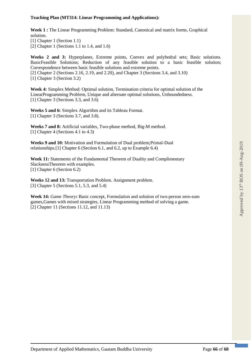### **Teaching Plan (MT314: Linear Programming and Applications):**

**Week 1 :** The Linear Programming Problem: Standard, Canonical and matrix forms, Graphical solution.

[1] Chapter 1 (Section 1.1)

[2] Chapter 1 (Sections 1.1 to 1.4, and 1.6)

**Weeks 2 and 3:** Hyperplanes, Extreme points, Convex and polyhedral sets; Basic solutions. BasicFeasible Solutions; Reduction of any feasible solution to a basic feasible solution; Correspondence between basic feasible solutions and extreme points. [2] Chapter 2 (Sections 2.16, 2.19, and 2.20), and Chapter 3 (Sections 3.4, and 3.10) [1] Chapter 3 (Section 3.2)

**Week 4:** Simplex Method: Optimal solution, Termination criteria for optimal solution of the LinearProgramming Problem, Unique and alternate optimal solutions, Unboundedness. [1] Chapter 3 (Sections 3.3, and  $3.\overline{6}$ )

**Weeks 5 and 6:** Simplex Algorithm and its Tableau Format. [1] Chapter 3 (Sections 3.7, and 3.8).

**Weeks 7 and 8:** Artificial variables, Two-phase method, Big-M method. [1] Chapter 4 (Sections 4.1 to 4.3)

**Weeks 9 and 10:** Motivation and Formulation of Dual problem;Primal-Dual relationships.[1] Chapter 6 (Section 6.1, and 6.2, up to Example 6.4)

**Week 11:** Statements of the Fundamental Theorem of Duality and Complimentary SlacknessTheorem with examples. [1] Chapter 6 (Section 6.2)

**Weeks 12 and 13:** Transportation Problem. Assignment problem. [3] Chapter 5 (Sections 5.1, 5.3, and 5.4)

**Week 14:** *Game Theory***:** Basic concept, Formulation and solution of two-person zero-sum games,Games with mixed strategies, Linear Programming method of solving a game. [2] Chapter 11 (Sections 11.12, and 11.13)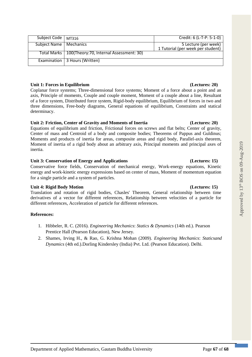Approved by  $13<sup>th</sup>$  BOS on 09-Aug-2019

Approved by 13th BOS on 09-Aug-2019

# **Unit 1: Forces in Equilibrium (Lectures: 20)**

Examination | 3 Hours (Written)

Coplanar force systems; Three-dimensional force systems; Moment of a force about a point and an axis, Principle of moments, Couple and couple moment, Moment of a couple about a line, Resultant of a force system, Distributed force system, Rigid-body equilibrium, Equilibrium of forces in two and three dimensions, Free-body diagrams, General equations of equilibrium, Constraints and statical determinacy.

Subject Code | MT316 Credit: 6 (L-T-P: 5-1-0) Subject Name Mechanics 5 Lecture (per week)

# **Unit 2: Friction, Center of Gravity and Moments of Inertia (Lectures: 20)**

Total Marks 100(Theory:70, Internal Assessment: 30)

Equations of equilibrium and friction, Frictional forces on screws and flat belts; Center of gravity, Center of mass and Centroid of a body and composite bodies; Theorems of Pappus and Guldinus; Moments and products of inertia for areas, composite areas and rigid body, Parallel-axis theorem, Moment of inertia of a rigid body about an arbitrary axis, Principal moments and principal axes of inertia.

# **Unit 3: Conservation of Energy and Applications (Lectures: 15)**

Conservative force fields, Conservation of mechanical energy, Work-energy equations, Kinetic energy and work-kinetic energy expressions based on center of mass, Moment of momentum equation for a single particle and a system of particles.

# **Unit 4: Rigid Body Motion (Lectures: 15)**

Translation and rotation of rigid bodies, Chasles' Theorem, General relationship between time derivatives of a vector for different references, Relationship between velocities of a particle for different references, Acceleration of particle for different references.

# **References:**

- 1. Hibbeler, R. C. (2016). *Engineering Mechanics*: *Statics & Dynamics* (14th ed.). Pearson Prentice Hall (Pearson Education), New Jersey.
- 2. Shames, Irving H., & Rao, G. Krishna Mohan (2009). *Engineering Mechanics*: *Staticsand Dynamics* (4th ed.).Dorling Kindersley (India) Pvt. Ltd. (Pearson Education). Delhi.

1 Tutorial (per week per student)